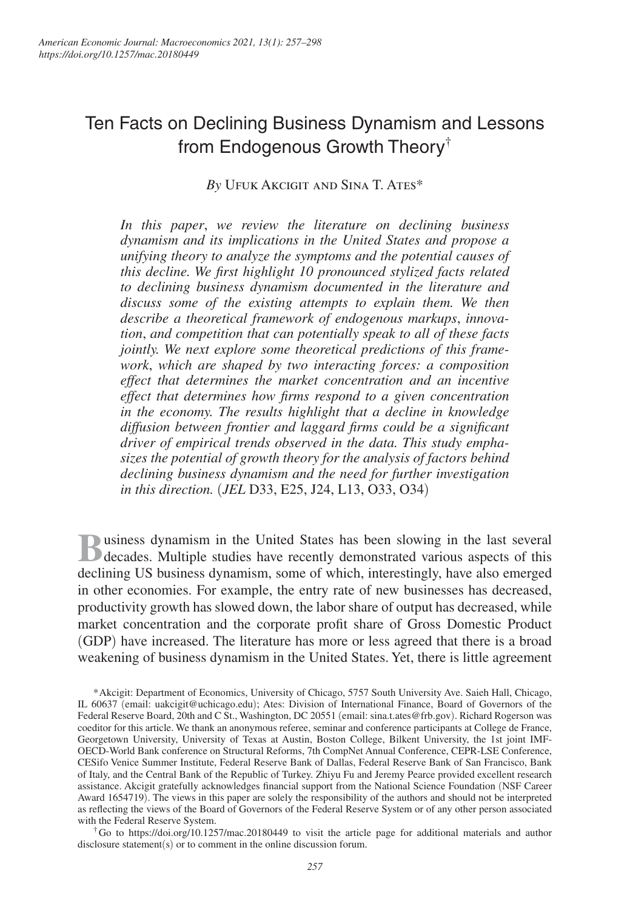# Ten Facts on Declining Business Dynamism and Lessons from Endogenous Growth Theory†

*By* Ufuk Akcigit and Sina T. Ates\*

*In this paper*, *we review the literature on declining business dynamism and its implications in the United States and propose a unifying theory to analyze the symptoms and the potential causes of this decline. We first highlight 10 pronounced stylized facts related to declining business dynamism documented in the literature and discuss some of the existing attempts to explain them. We then describe a theoretical framework of endogenous markups*, *innovation*, *and competition that can potentially speak to all of these facts jointly. We next explore some theoretical predictions of this framework*, *which are shaped by two interacting forces: a composition effect that determines the market concentration and an incentive effect that determines how firms respond to a given concentration in the economy. The results highlight that a decline in knowledge diffusion between frontier and laggard firms could be a significant driver of empirical trends observed in the data. This study emphasizes the potential of growth theory for the analysis of factors behind declining business dynamism and the need for further investigation in this direction.* (*JEL* D33, E25, J24, L13, O33, O34)

**B** usiness dynamism in the United States has been slowing in the last several decades. Multiple studies have recently demonstrated various aspects of this decades. Multiple studies have recently demonstrated various aspects of this declining US business dynamism, some of which, interestingly, have also emerged in other economies. For example, the entry rate of new businesses has decreased, productivity growth has slowed down, the labor share of output has decreased, while market concentration and the corporate profit share of Gross Domestic Product (GDP) have increased. The literature has more or less agreed that there is a broad weakening of business dynamism in the United States. Yet, there is little agreement

\* Akcigit: Department of Economics, University of Chicago, 5757 South University Ave. Saieh Hall, Chicago, IL 60637 (email: uakcigit@uchicago.edu); Ates: Division of International Finance, Board of Governors of the Federal Reserve Board, 20th and C St., Washington, DC 20551 (email: sina.t.ates@frb.gov). Richard Rogerson was coeditor for this article. We thank an anonymous referee, seminar and conference participants at College de France, Georgetown University, University of Texas at Austin, Boston College, Bilkent University, the 1st joint IMF-OECD-World Bank conference on Structural Reforms, 7th CompNet Annual Conference, CEPR-LSE Conference, CESifo Venice Summer Institute, Federal Reserve Bank of Dallas, Federal Reserve Bank of San Francisco, Bank of Italy, and the Central Bank of the Republic of Turkey. Zhiyu Fu and Jeremy Pearce provided excellent research assistance. Akcigit gratefully acknowledges financial support from the National Science Foundation (NSF Career Award 1654719). The views in this paper are solely the responsibility of the authors and should not be interpreted as reflecting the views of the Board of Governors of the Federal Reserve System or of any other person associated with the Federal Reserve System.

† Go to https://doi.org/10.1257/mac.20180449 to visit the article page for additional materials and author disclosure statement(s) or to comment in the online discussion forum.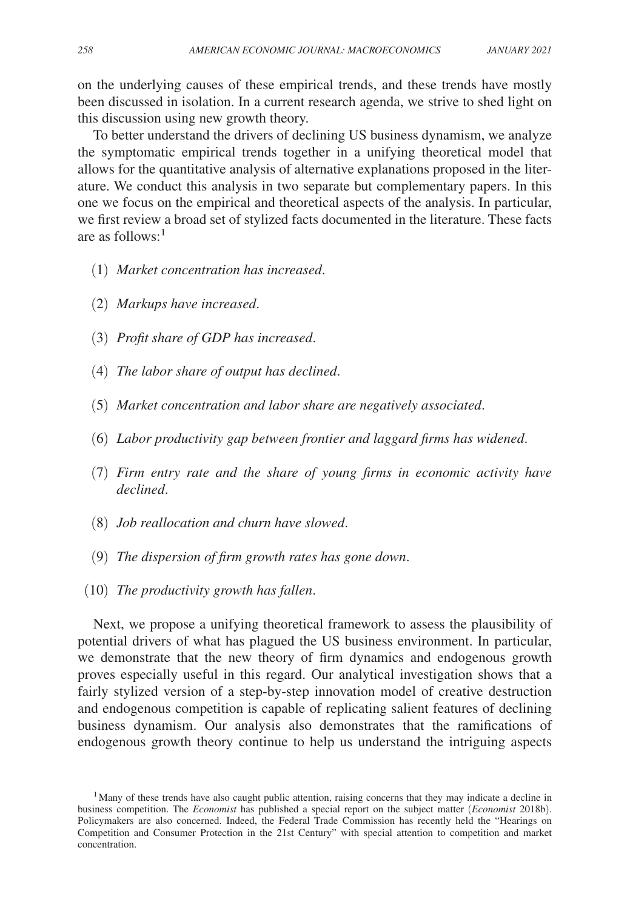on the underlying causes of these empirical trends, and these trends have mostly been discussed in isolation. In a current research agenda, we strive to shed light on this discussion using new growth theory.

To better understand the drivers of declining US business dynamism, we analyze the symptomatic empirical trends together in a unifying theoretical model that allows for the quantitative analysis of alternative explanations proposed in the literature. We conduct this analysis in two separate but complementary papers. In this one we focus on the empirical and theoretical aspects of the analysis. In particular, we first review a broad set of stylized facts documented in the literature. These facts are as follows: $<sup>1</sup>$ </sup>

- (1) *Market concentration has increased*.
- (2) *Markups have increased*.
- (3) *Profit share of GDP has increased*.
- (4) *The labor share of output has declined*.
- (5) *Market concentration and labor share are negatively associated*.
- (6) *Labor productivity gap between frontier and laggard firms has widened*.
- (7) *Firm entry rate and the share of young firms in economic activity have declined*.
- (8) *Job reallocation and churn have slowed*.
- (9) *The dispersion of firm growth rates has gone down*.
- (10) *The productivity growth has fallen*.

Next, we propose a unifying theoretical framework to assess the plausibility of potential drivers of what has plagued the US business environment. In particular, we demonstrate that the new theory of firm dynamics and endogenous growth proves especially useful in this regard. Our analytical investigation shows that a fairly stylized version of a step-by-step innovation model of creative destruction and endogenous competition is capable of replicating salient features of declining business dynamism. Our analysis also demonstrates that the ramifications of endogenous growth theory continue to help us understand the intriguing aspects

<sup>&</sup>lt;sup>1</sup>Many of these trends have also caught public attention, raising concerns that they may indicate a decline in business competition. The *Economist* has published a special report on the subject matter (*Economist* 2018b). Policymakers are also concerned. Indeed, the Federal Trade Commission has recently held the "Hearings on Competition and Consumer Protection in the 21st Century" with special attention to competition and market concentration.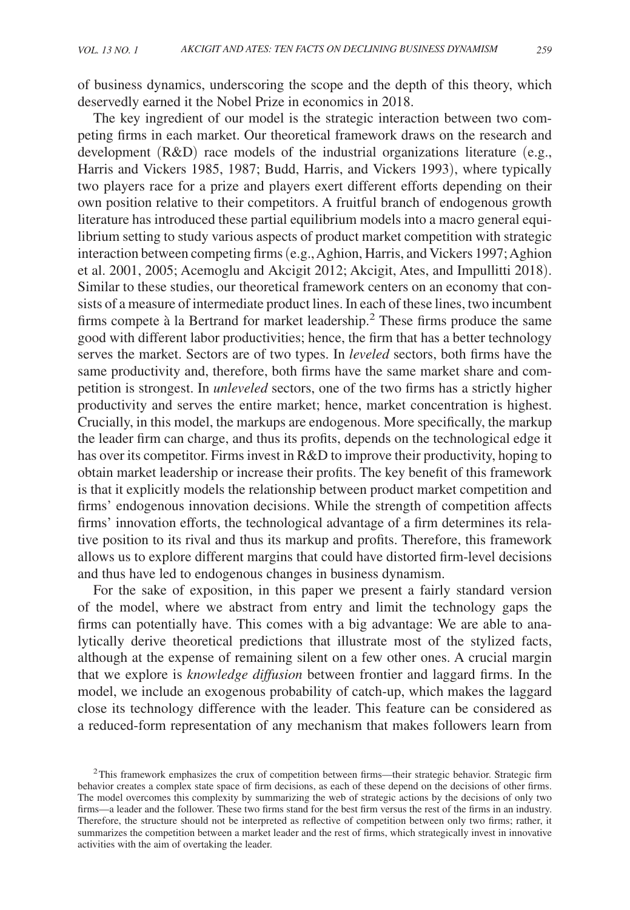of business dynamics, underscoring the scope and the depth of this theory, which deservedly earned it the Nobel Prize in economics in 2018.

The key ingredient of our model is the strategic interaction between two competing firms in each market. Our theoretical framework draws on the research and development (R&D) race models of the industrial organizations literature (e.g., Harris and Vickers 1985, 1987; Budd, Harris, and Vickers 1993), where typically two players race for a prize and players exert different efforts depending on their own position relative to their competitors. A fruitful branch of endogenous growth literature has introduced these partial equilibrium models into a macro general equilibrium setting to study various aspects of product market competition with strategic interaction between competing firms (e.g., Aghion, Harris, and Vickers 1997; Aghion et al. 2001, 2005; Acemoglu and Akcigit 2012; Akcigit, Ates, and Impullitti 2018). Similar to these studies, our theoretical framework centers on an economy that consists of a measure of intermediate product lines. In each of these lines, two incumbent firms compete à la Bertrand for market leadership.<sup>2</sup> These firms produce the same good with different labor productivities; hence, the firm that has a better technology serves the market. Sectors are of two types. In *leveled* sectors, both firms have the same productivity and, therefore, both firms have the same market share and competition is strongest. In *unleveled* sectors, one of the two firms has a strictly higher productivity and serves the entire market; hence, market concentration is highest. Crucially, in this model, the markups are endogenous. More specifically, the markup the leader firm can charge, and thus its profits, depends on the technological edge it has over its competitor. Firms invest in R&D to improve their productivity, hoping to obtain market leadership or increase their profits. The key benefit of this framework is that it explicitly models the relationship between product market competition and firms' endogenous innovation decisions. While the strength of competition affects firms' innovation efforts, the technological advantage of a firm determines its relative position to its rival and thus its markup and profits. Therefore, this framework allows us to explore different margins that could have distorted firm-level decisions and thus have led to endogenous changes in business dynamism.

For the sake of exposition, in this paper we present a fairly standard version of the model, where we abstract from entry and limit the technology gaps the firms can potentially have. This comes with a big advantage: We are able to analytically derive theoretical predictions that illustrate most of the stylized facts, although at the expense of remaining silent on a few other ones. A crucial margin that we explore is *knowledge diffusion* between frontier and laggard firms. In the model, we include an exogenous probability of catch-up, which makes the laggard close its technology difference with the leader. This feature can be considered as a reduced-form representation of any mechanism that makes followers learn from

 $2$ This framework emphasizes the crux of competition between firms—their strategic behavior. Strategic firm behavior creates a complex state space of firm decisions, as each of these depend on the decisions of other firms. The model overcomes this complexity by summarizing the web of strategic actions by the decisions of only two firms—a leader and the follower. These two firms stand for the best firm versus the rest of the firms in an industry. Therefore, the structure should not be interpreted as reflective of competition between only two firms; rather, it summarizes the competition between a market leader and the rest of firms, which strategically invest in innovative activities with the aim of overtaking the leader.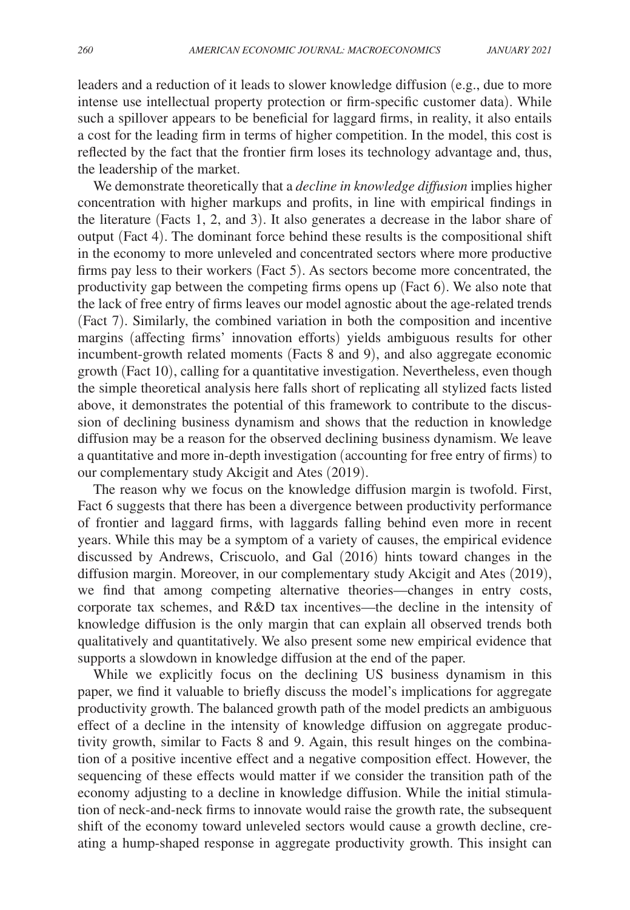leaders and a reduction of it leads to slower knowledge diffusion (e.g., due to more intense use intellectual property protection or firm-specific customer data). While such a spillover appears to be beneficial for laggard firms, in reality, it also entails a cost for the leading firm in terms of higher competition. In the model, this cost is reflected by the fact that the frontier firm loses its technology advantage and, thus, the leadership of the market.

We demonstrate theoretically that a *decline in knowledge diffusion* implies higher concentration with higher markups and profits, in line with empirical findings in the literature (Facts 1, 2, and 3). It also generates a decrease in the labor share of output (Fact 4). The dominant force behind these results is the compositional shift in the economy to more unleveled and concentrated sectors where more productive firms pay less to their workers (Fact 5). As sectors become more concentrated, the productivity gap between the competing firms opens up (Fact 6). We also note that the lack of free entry of firms leaves our model agnostic about the age-related trends (Fact 7). Similarly, the combined variation in both the composition and incentive margins (affecting firms' innovation efforts) yields ambiguous results for other incumbent-growth related moments (Facts 8 and 9), and also aggregate economic growth (Fact 10), calling for a quantitative investigation. Nevertheless, even though the simple theoretical analysis here falls short of replicating all stylized facts listed above, it demonstrates the potential of this framework to contribute to the discussion of declining business dynamism and shows that the reduction in knowledge diffusion may be a reason for the observed declining business dynamism. We leave a quantitative and more in-depth investigation (accounting for free entry of firms) to our complementary study Akcigit and Ates (2019).

The reason why we focus on the knowledge diffusion margin is twofold. First, Fact 6 suggests that there has been a divergence between productivity performance of frontier and laggard firms, with laggards falling behind even more in recent years. While this may be a symptom of a variety of causes, the empirical evidence discussed by Andrews, Criscuolo, and Gal (2016) hints toward changes in the diffusion margin. Moreover, in our complementary study Akcigit and Ates (2019), we find that among competing alternative theories—changes in entry costs, corporate tax schemes, and R&D tax incentives—the decline in the intensity of knowledge diffusion is the only margin that can explain all observed trends both qualitatively and quantitatively. We also present some new empirical evidence that supports a slowdown in knowledge diffusion at the end of the paper.

While we explicitly focus on the declining US business dynamism in this paper, we find it valuable to briefly discuss the model's implications for aggregate productivity growth. The balanced growth path of the model predicts an ambiguous effect of a decline in the intensity of knowledge diffusion on aggregate productivity growth, similar to Facts 8 and 9. Again, this result hinges on the combination of a positive incentive effect and a negative composition effect. However, the sequencing of these effects would matter if we consider the transition path of the economy adjusting to a decline in knowledge diffusion. While the initial stimulation of neck-and-neck firms to innovate would raise the growth rate, the subsequent shift of the economy toward unleveled sectors would cause a growth decline, creating a hump-shaped response in aggregate productivity growth. This insight can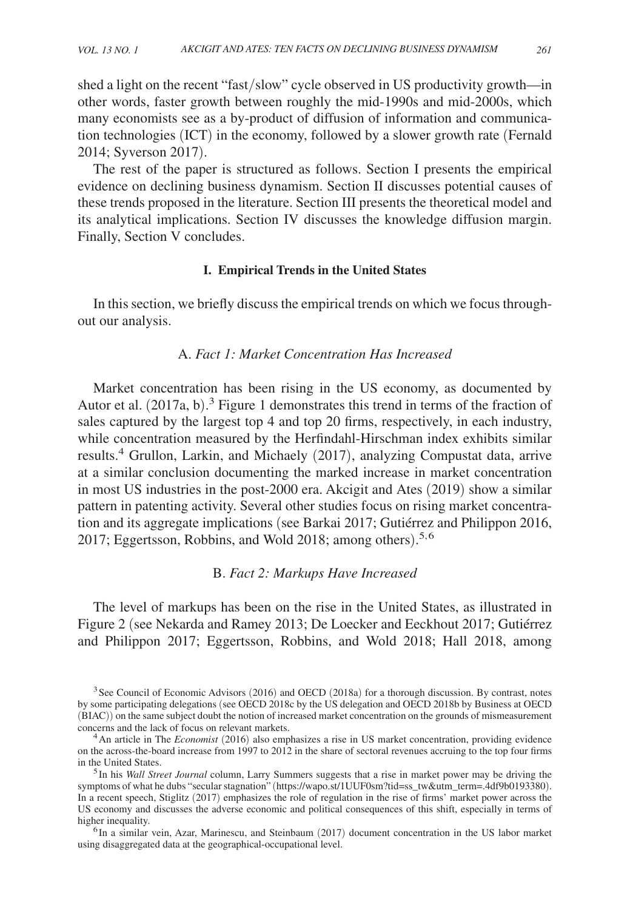shed a light on the recent "fast/slow" cycle observed in US productivity growth—in other words, faster growth between roughly the mid-1990s and mid-2000s, which many economists see as a by-product of diffusion of information and communication technologies (ICT) in the economy, followed by a slower growth rate (Fernald 2014; Syverson 2017).

The rest of the paper is structured as follows. Section I presents the empirical evidence on declining business dynamism. Section II discusses potential causes of these trends proposed in the literature. Section III presents the theoretical model and its analytical implications. Section IV discusses the knowledge diffusion margin. Finally, Section V concludes.

## **I. Empirical Trends in the United States**

In this section, we briefly discuss the empirical trends on which we focus throughout our analysis.

## A. *Fact 1: Market Concentration Has Increased*

Market concentration has been rising in the US economy, as documented by Autor et al. (2017a, b). 3 Figure 1 demonstrates this trend in terms of the fraction of sales captured by the largest top 4 and top 20 firms, respectively, in each industry, while concentration measured by the Herfindahl-Hirschman index exhibits similar results.<sup>4</sup> Grullon, Larkin, and Michaely (2017), analyzing Compustat data, arrive at a similar conclusion documenting the marked increase in market concentration in most US industries in the post-2000 era. Akcigit and Ates (2019) show a similar pattern in patenting activity. Several other studies focus on rising market concentration and its aggregate implications (see Barkai 2017; Gutiérrez and Philippon 2016, 2017; Eggertsson, Robbins, and Wold 2018; among others). 5, 6

## B. *Fact 2: Markups Have Increased*

The level of markups has been on the rise in the United States, as illustrated in Figure 2 (see Nekarda and Ramey 2013; De Loecker and Eeckhout 2017; Gutiérrez and Philippon 2017; Eggertsson, Robbins, and Wold 2018; Hall 2018, among

<sup>&</sup>lt;sup>3</sup> See Council of Economic Advisors (2016) and OECD (2018a) for a thorough discussion. By contrast, notes by some participating delegations (see OECD 2018c by the US delegation and OECD 2018b by Business at OECD (BIAC)) on the same subject doubt the notion of increased market concentration on the grounds of mismeasurement concerns and the lack of focus on relevant markets.

<sup>4</sup>An article in The *Economist* (2016) also emphasizes a rise in US market concentration, providing evidence on the across-the-board increase from 1997 to 2012 in the share of sectoral revenues accruing to the top four firms in the United States.

<sup>5</sup>In his *Wall Street Journal* column, Larry Summers suggests that a rise in market power may be driving the symptoms of what he dubs "secular stagnation" (https://wapo.st/1UUF0sm?tid=ss\_tw&utm\_term=.4df9b0193380). In a recent speech, Stiglitz (2017) emphasizes the role of regulation in the rise of firms' market power across the US economy and discusses the adverse economic and political consequences of this shift, especially in terms of higher inequality.

<sup>&</sup>lt;sup>6</sup>In a similar vein, Azar, Marinescu, and Steinbaum (2017) document concentration in the US labor market using disaggregated data at the geographical-occupational level.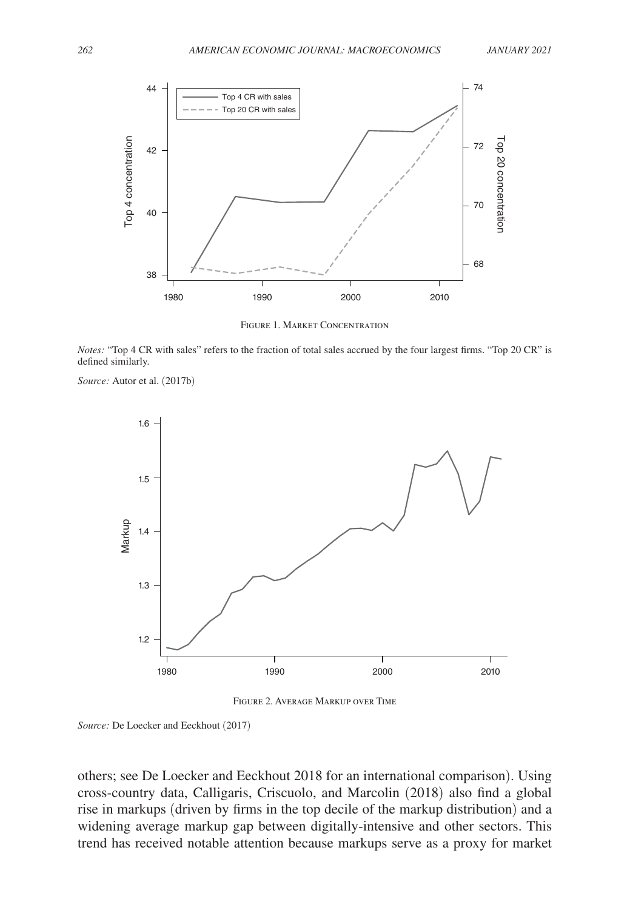

Figure 1. Market Concentration

*Notes:* "Top 4 CR with sales" refers to the fraction of total sales accrued by the four largest firms. "Top 20 CR" is defined similarly.

*Source:* Autor et al. (2017b)



Figure 2. Average Markup over Time

*Source:* De Loecker and Eeckhout (2017)

 others; see De Loecker and Eeckhout 2018 for an international comparison). Using cross-country data, Calligaris, Criscuolo, and Marcolin (2018) also find a global rise in markups (driven by firms in the top decile of the markup distribution) and a widening average markup gap between digitally-intensive and other sectors. This trend has received notable attention because markups serve as a proxy for market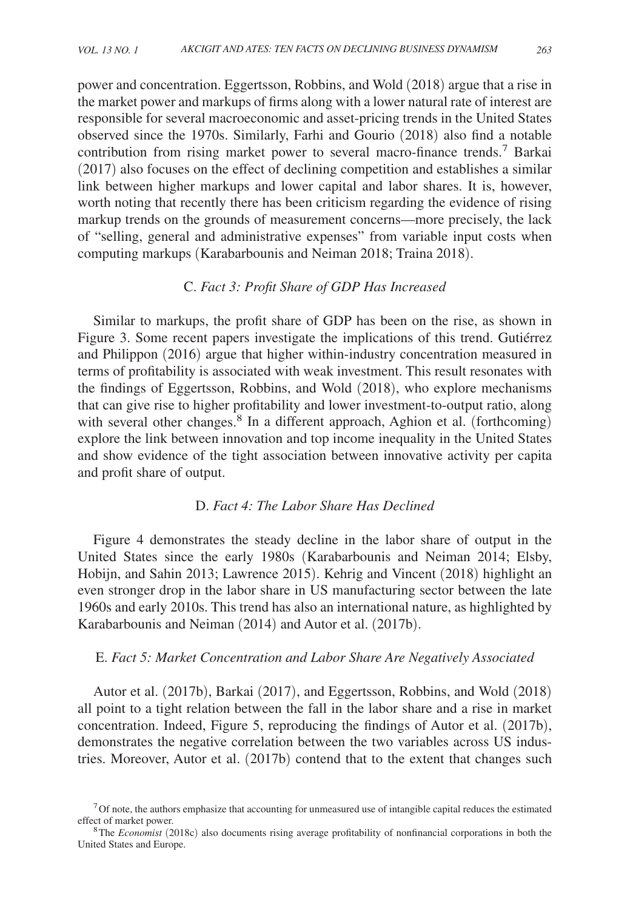power and concentration. Eggertsson, Robbins, and Wold (2018) argue that a rise in the market power and markups of firms along with a lower natural rate of interest are responsible for several macroeconomic and asset-pricing trends in the United States observed since the 1970s. Similarly, Farhi and Gourio (2018) also find a notable contribution from rising market power to several macro-finance trends.<sup>7</sup> Barkai (2017) also focuses on the effect of declining competition and establishes a similar link between higher markups and lower capital and labor shares. It is, however, worth noting that recently there has been criticism regarding the evidence of rising markup trends on the grounds of measurement concerns—more precisely, the lack of "selling, general and administrative expenses" from variable input costs when computing markups (Karabarbounis and Neiman 2018; Traina 2018).

## C. *Fact 3: Profit Share of GDP Has Increased*

Similar to markups, the profit share of GDP has been on the rise, as shown in Figure 3. Some recent papers investigate the implications of this trend. Gutiérrez and Philippon (2016) argue that higher within-industry concentration measured in terms of profitability is associated with weak investment. This result resonates with the findings of Eggertsson, Robbins, and Wold (2018), who explore mechanisms that can give rise to higher profitability and lower investment-to-output ratio, along with several other changes.<sup>8</sup> In a different approach, Aghion et al. (forthcoming) explore the link between innovation and top income inequality in the United States and show evidence of the tight association between innovative activity per capita and profit share of output.

## D. *Fact 4: The Labor Share Has Declined*

Figure 4 demonstrates the steady decline in the labor share of output in the United States since the early 1980s (Karabarbounis and Neiman 2014; Elsby, Hobijn, and Sahin 2013; Lawrence 2015). Kehrig and Vincent (2018) highlight an even stronger drop in the labor share in US manufacturing sector between the late 1960s and early 2010s. This trend has also an international nature, as highlighted by Karabarbounis and Neiman (2014) and Autor et al. (2017b).

## E. *Fact 5: Market Concentration and Labor Share Are Negatively Associated*

Autor et al. (2017b), Barkai (2017), and Eggertsson, Robbins, and Wold (2018) all point to a tight relation between the fall in the labor share and a rise in market concentration. Indeed, Figure 5, reproducing the findings of Autor et al. (2017b), demonstrates the negative correlation between the two variables across US industries. Moreover, Autor et al. (2017b) contend that to the extent that changes such

 $7$  Of note, the authors emphasize that accounting for unmeasured use of intangible capital reduces the estimated effect of market power.

<sup>8</sup>The *Economist* (2018c) also documents rising average profitability of nonfinancial corporations in both the United States and Europe.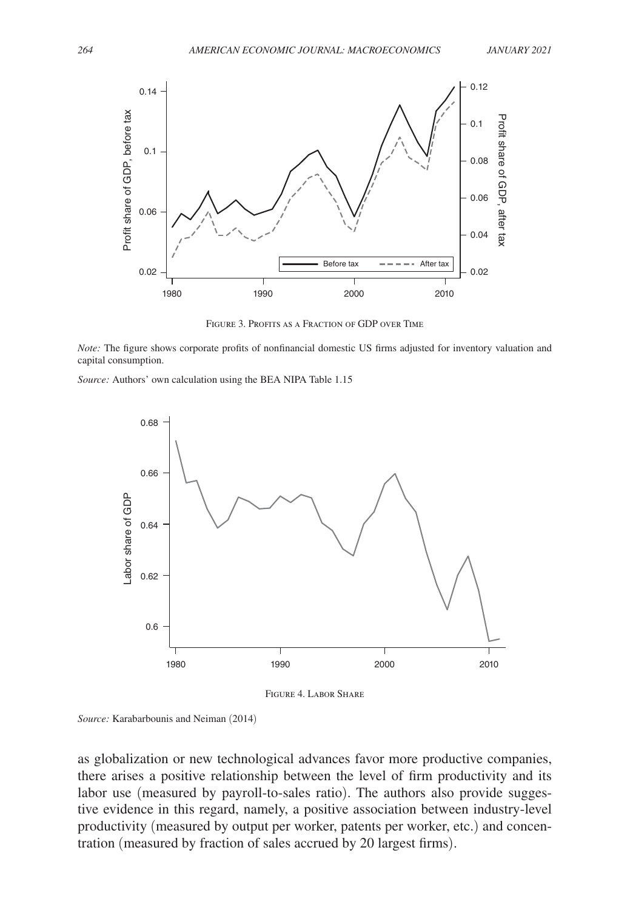

Figure 3. Profits as a Fraction of GDP over Time

*Note:* The figure shows corporate profits of nonfinancial domestic US firms adjusted for inventory valuation and capital consumption.

*Source:* Authors' own calculation using the BEA NIPA Table 1.15



Figure 4. Labor Share

*Source:* Karabarbounis and Neiman (2014)

as globalization or new technological advances favor more productive companies, there arises a positive relationship between the level of firm productivity and its labor use (measured by payroll-to-sales ratio). The authors also provide suggestive evidence in this regard, namely, a positive association between industry-level productivity (measured by output per worker, patents per worker, etc.) and concentration (measured by fraction of sales accrued by 20 largest firms).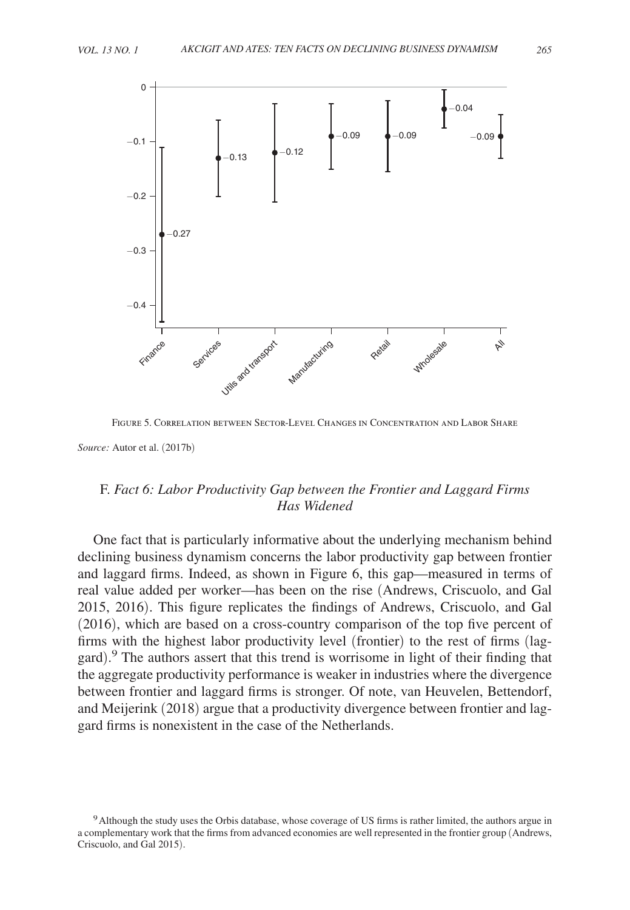



Figure 5. Correlation between Sector-Level Changes in Concentration and Labor Share

 $^{−0.4}$ 

 $-0.3$ 

−0.2

−0.1

 $\Omega$ 

∩ 27

# F. *Fact 6: Labor Productivity Gap between the Frontier and Laggard Firms Has Widened*

One fact that is particularly informative about the underlying mechanism behind declining business dynamism concerns the labor productivity gap between frontier and laggard firms. Indeed, as shown in Figure 6, this gap—measured in terms of real value added per worker—has been on the rise (Andrews, Criscuolo, and Gal 2015, 2016). This figure replicates the findings of Andrews, Criscuolo, and Gal (2016), which are based on a cross-country comparison of the top five percent of firms with the highest labor productivity level (frontier) to the rest of firms (laggard). 9 The authors assert that this trend is worrisome in light of their finding that the aggregate productivity performance is weaker in industries where the divergence between frontier and laggard firms is stronger. Of note, van Heuvelen, Bettendorf, and Meijerink (2018) argue that a productivity divergence between frontier and laggard firms is nonexistent in the case of the Netherlands.

*Source:* Autor et al. (2017b)

<sup>9</sup>Although the study uses the Orbis database, whose coverage of US firms is rather limited, the authors argue in a complementary work that the firms from advanced economies are well represented in the frontier group (Andrews, Criscuolo, and Gal 2015).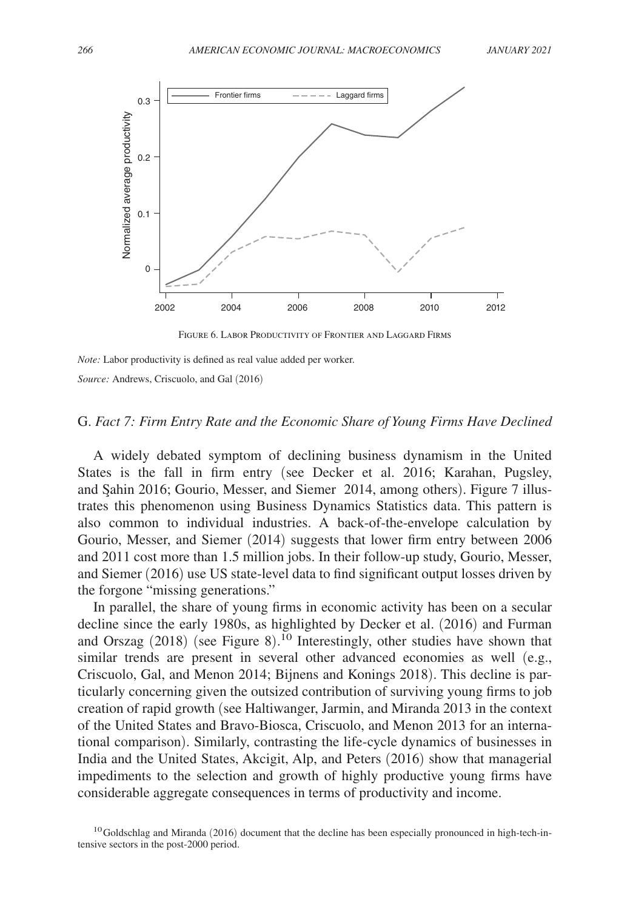

Figure 6. Labor Productivity of Frontier and Laggard Firms

*Note:* Labor productivity is defined as real value added per worker.

*Source:* Andrews, Criscuolo, and Gal (2016)

## G. *Fact 7: Firm Entry Rate and the Economic Share of Young Firms Have Declined*

A widely debated symptom of declining business dynamism in the United States is the fall in firm entry (see Decker et al. 2016; Karahan, Pugsley, and Şahin 2016; Gourio, Messer, and Siemer 2014, among others). Figure 7 illustrates this phenomenon using Business Dynamics Statistics data. This pattern is also common to individual industries. A back-of-the-envelope calculation by Gourio, Messer, and Siemer (2014) suggests that lower firm entry between 2006 and 2011 cost more than 1.5 million jobs. In their follow-up study, Gourio, Messer, and Siemer (2016) use US state-level data to find significant output losses driven by the forgone "missing generations."

In parallel, the share of young firms in economic activity has been on a secular decline since the early 1980s, as highlighted by Decker et al. (2016) and Furman and Orszag  $(2018)$  (see Figure 8).<sup>10</sup> Interestingly, other studies have shown that similar trends are present in several other advanced economies as well (e.g., Criscuolo, Gal, and Menon 2014; Bijnens and Konings 2018). This decline is particularly concerning given the outsized contribution of surviving young firms to job creation of rapid growth (see Haltiwanger, Jarmin, and Miranda 2013 in the context of the United States and Bravo-Biosca, Criscuolo, and Menon 2013 for an international comparison). Similarly, contrasting the life-cycle dynamics of businesses in India and the United States, Akcigit, Alp, and Peters (2016) show that managerial impediments to the selection and growth of highly productive young firms have considerable aggregate consequences in terms of productivity and income.

 $10G$ oldschlag and Miranda (2016) document that the decline has been especially pronounced in high-tech-intensive sectors in the post-2000 period.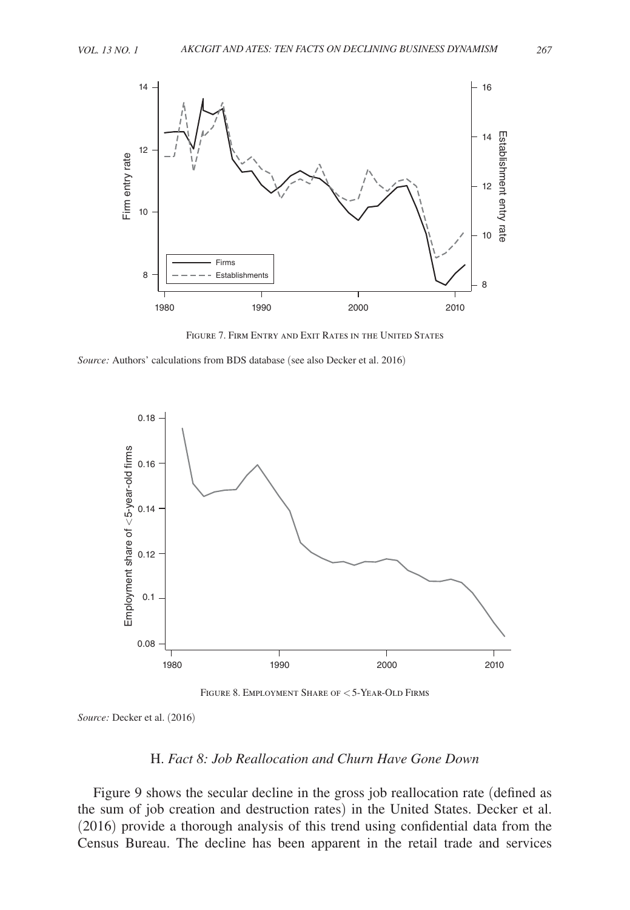

Figure 7. Firm Entry and Exit Rates in the United States

*Source:* Authors' calculations from BDS database (see also Decker et al. 2016)



Figure 8. Employment Share of < 5-Year-Old Firms

*Source:* Decker et al. (2016)

# H. *Fact 8: Job Reallocation and Churn Have Gone Down*

Figure 9 shows the secular decline in the gross job reallocation rate (defined as the sum of job creation and destruction rates) in the United States. Decker et al. (2016) provide a thorough analysis of this trend using confidential data from the Census Bureau. The decline has been apparent in the retail trade and services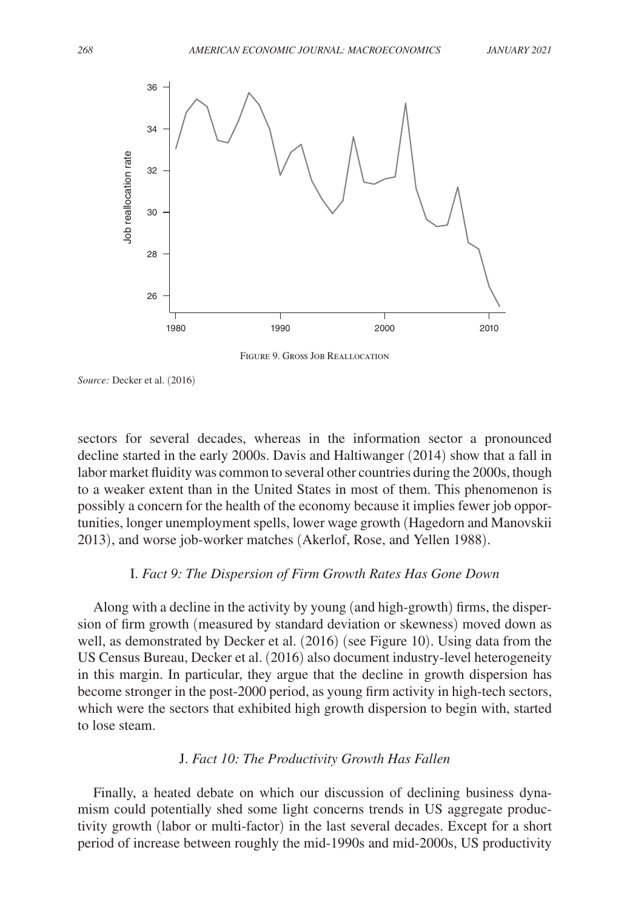

Figure 9. Gross Job Reallocation

*Source:* Decker et al. (2016)

 sectors for several decades, whereas in the information sector a pronounced decline started in the early 2000s. Davis and Haltiwanger (2014) show that a fall in labor market fluidity was common to several other countries during the 2000s, though to a weaker extent than in the United States in most of them. This phenomenon is possibly a concern for the health of the economy because it implies fewer job opportunities, longer unemployment spells, lower wage growth (Hagedorn and Manovskii 2013), and worse job-worker matches (Akerlof, Rose, and Yellen 1988).

## I. *Fact 9: The Dispersion of Firm Growth Rates Has Gone Down*

Along with a decline in the activity by young (and high-growth) firms, the dispersion of firm growth (measured by standard deviation or skewness) moved down as well, as demonstrated by Decker et al. (2016) (see Figure 10). Using data from the US Census Bureau, Decker et al. (2016) also document industry-level heterogeneity in this margin. In particular, they argue that the decline in growth dispersion has become stronger in the post-2000 period, as young firm activity in high-tech sectors, which were the sectors that exhibited high growth dispersion to begin with, started to lose steam.

## J. *Fact 10: The Productivity Growth Has Fallen*

Finally, a heated debate on which our discussion of declining business dynamism could potentially shed some light concerns trends in US aggregate productivity growth (labor or multi-factor) in the last several decades. Except for a short period of increase between roughly the mid-1990s and mid-2000s, US productivity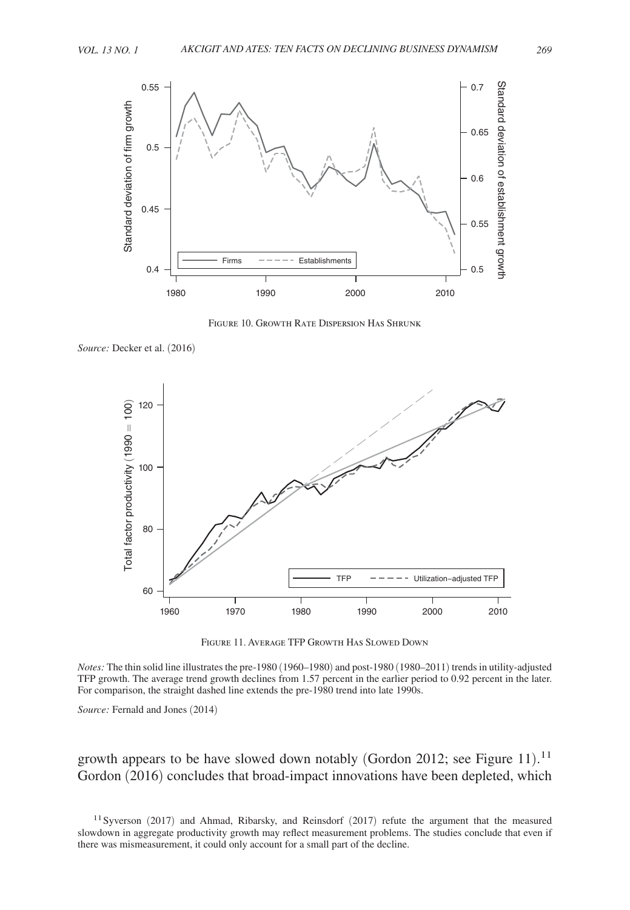

Figure 10. Growth Rate Dispersion Has Shrunk

*Source:* Decker et al. (2016)



Figure 11. Average TFP Growth Has Slowed Down

*Notes:* The thin solid line illustrates the pre-1980 (1960–1980) and post-1980 (1980–2011) trends in utility-adjusted TFP growth. The average trend growth declines from 1.57 percent in the earlier period to 0.92 percent in the later. For comparison, the straight dashed line extends the pre-1980 trend into late 1990s.

*Source:* Fernald and Jones (2014)

growth appears to be have slowed down notably (Gordon 2012; see Figure 11).<sup>11</sup> Gordon (2016) concludes that broad-impact innovations have been depleted, which

<sup>11</sup> Syverson (2017) and Ahmad, Ribarsky, and Reinsdorf (2017) refute the argument that the measured slowdown in aggregate productivity growth may reflect measurement problems. The studies conclude that even if there was mismeasurement, it could only account for a small part of the decline.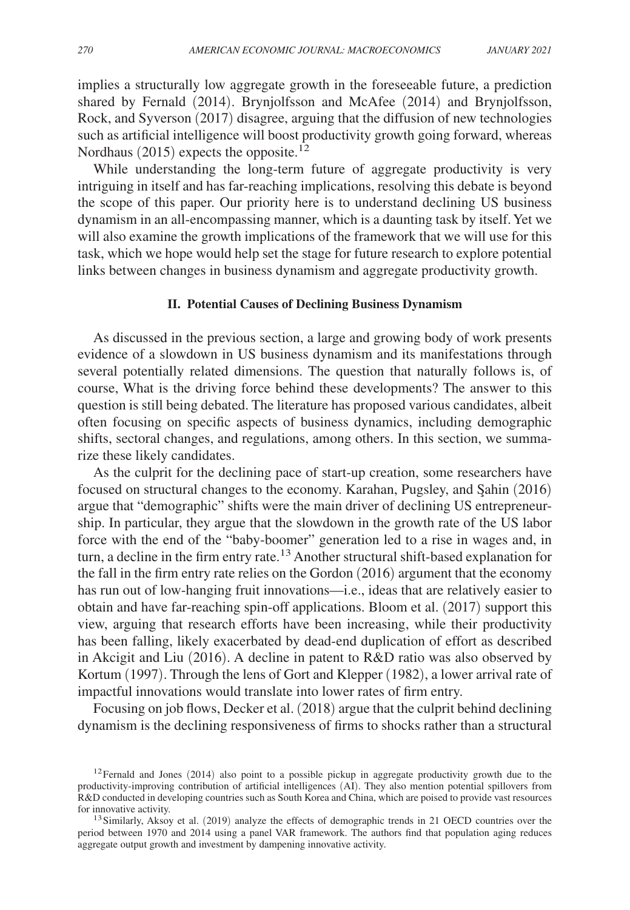implies a structurally low aggregate growth in the foreseeable future, a prediction shared by Fernald (2014). Brynjolfsson and McAfee (2014) and Brynjolfsson, Rock, and Syverson (2017) disagree, arguing that the diffusion of new technologies such as artificial intelligence will boost productivity growth going forward, whereas Nordhaus (2015) expects the opposite.<sup>12</sup>

While understanding the long-term future of aggregate productivity is very intriguing in itself and has far-reaching implications, resolving this debate is beyond the scope of this paper. Our priority here is to understand declining US business dynamism in an all-encompassing manner, which is a daunting task by itself. Yet we will also examine the growth implications of the framework that we will use for this task, which we hope would help set the stage for future research to explore potential links between changes in business dynamism and aggregate productivity growth.

#### **II. Potential Causes of Declining Business Dynamism**

As discussed in the previous section, a large and growing body of work presents evidence of a slowdown in US business dynamism and its manifestations through several potentially related dimensions. The question that naturally follows is, of course, What is the driving force behind these developments? The answer to this question is still being debated. The literature has proposed various candidates, albeit often focusing on specific aspects of business dynamics, including demographic shifts, sectoral changes, and regulations, among others. In this section, we summarize these likely candidates.

As the culprit for the declining pace of start-up creation, some researchers have focused on structural changes to the economy. Karahan, Pugsley, and Şahin (2016) argue that "demographic" shifts were the main driver of declining US entrepreneurship. In particular, they argue that the slowdown in the growth rate of the US labor force with the end of the "baby-boomer" generation led to a rise in wages and, in turn, a decline in the firm entry rate.<sup>13</sup> Another structural shift-based explanation for the fall in the firm entry rate relies on the Gordon (2016) argument that the economy has run out of low-hanging fruit innovations—i.e., ideas that are relatively easier to obtain and have far-reaching spin-off applications. Bloom et al. (2017) support this view, arguing that research efforts have been increasing, while their productivity has been falling, likely exacerbated by dead-end duplication of effort as described in Akcigit and Liu (2016). A decline in patent to R&D ratio was also observed by Kortum (1997). Through the lens of Gort and Klepper (1982), a lower arrival rate of impactful innovations would translate into lower rates of firm entry.

Focusing on job flows, Decker et al. (2018) argue that the culprit behind declining dynamism is the declining responsiveness of firms to shocks rather than a structural

 $12$ Fernald and Jones (2014) also point to a possible pickup in aggregate productivity growth due to the productivity-improving contribution of artificial intelligences (AI). They also mention potential spillovers from R&D conducted in developing countries such as South Korea and China, which are poised to provide vast resources for innovative activity.

<sup>&</sup>lt;sup>13</sup> Similarly, Aksoy et al. (2019) analyze the effects of demographic trends in 21 OECD countries over the period between 1970 and 2014 using a panel VAR framework. The authors find that population aging reduces aggregate output growth and investment by dampening innovative activity.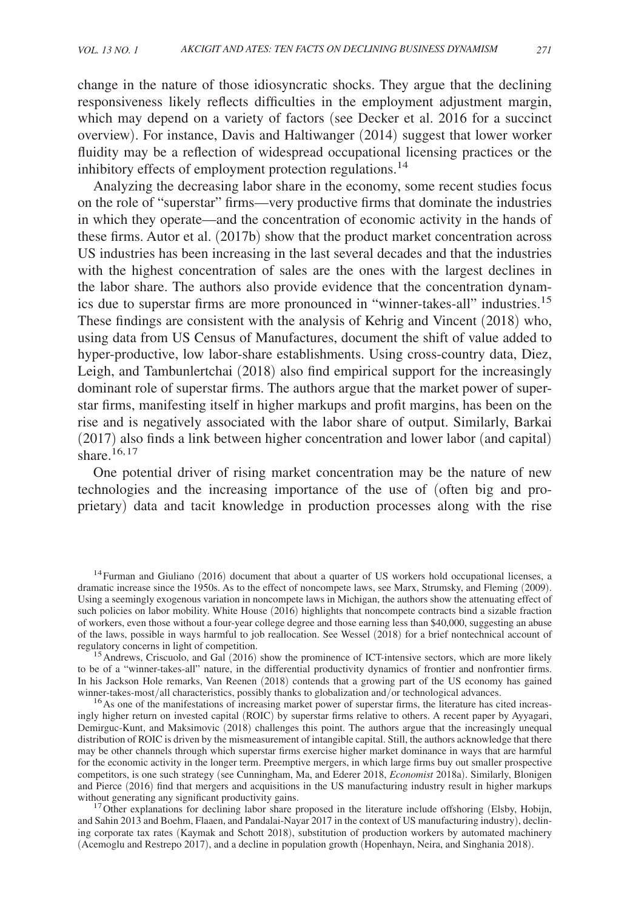change in the nature of those idiosyncratic shocks. They argue that the declining responsiveness likely reflects difficulties in the employment adjustment margin, which may depend on a variety of factors (see Decker et al. 2016 for a succinct overview). For instance, Davis and Haltiwanger (2014) suggest that lower worker fluidity may be a reflection of widespread occupational licensing practices or the inhibitory effects of employment protection regulations.<sup>14</sup>

Analyzing the decreasing labor share in the economy, some recent studies focus on the role of "superstar" firms—very productive firms that dominate the industries in which they operate—and the concentration of economic activity in the hands of these firms. Autor et al. (2017b) show that the product market concentration across US industries has been increasing in the last several decades and that the industries with the highest concentration of sales are the ones with the largest declines in the labor share. The authors also provide evidence that the concentration dynamics due to superstar firms are more pronounced in "winner-takes-all" industries.<sup>15</sup> These findings are consistent with the analysis of Kehrig and Vincent (2018) who, using data from US Census of Manufactures, document the shift of value added to hyper-productive, low labor-share establishments. Using cross-country data, Diez, Leigh, and Tambunlertchai (2018) also find empirical support for the increasingly dominant role of superstar firms. The authors argue that the market power of superstar firms, manifesting itself in higher markups and profit margins, has been on the rise and is negatively associated with the labor share of output. Similarly, Barkai (2017) also finds a link between higher concentration and lower labor (and capital) share $16, 17$ 

One potential driver of rising market concentration may be the nature of new technologies and the increasing importance of the use of (often big and proprietary) data and tacit knowledge in production processes along with the rise

<sup>&</sup>lt;sup>14</sup>Furman and Giuliano (2016) document that about a quarter of US workers hold occupational licenses, a dramatic increase since the 1950s. As to the effect of noncompete laws, see Marx, Strumsky, and Fleming (2009). Using a seemingly exogenous variation in noncompete laws in Michigan, the authors show the attenuating effect of such policies on labor mobility. White House (2016) highlights that noncompete contracts bind a sizable fraction of workers, even those without a four-year college degree and those earning less than \$40,000, suggesting an abuse of the laws, possible in ways harmful to job reallocation. See Wessel (2018) for a brief nontechnical account of regulatory concerns in light of competition.

<sup>&</sup>lt;sup>15</sup> Andrews, Criscuolo, and Gal (2016) show the prominence of ICT-intensive sectors, which are more likely to be of a " winner-takes-all" nature, in the differential productivity dynamics of frontier and nonfrontier firms. In his Jackson Hole remarks, Van Reenen (2018) contends that a growing part of the US economy has gained winner-takes-most/all characteristics, possibly thanks to globalization and/or technological advances.

<sup>&</sup>lt;sup>16</sup>As one of the manifestations of increasing market power of superstar firms, the literature has cited increasingly higher return on invested capital (ROIC) by superstar firms relative to others. A recent paper by Ayyagari, Demirguc-Kunt, and Maksimovic (2018) challenges this point. The authors argue that the increasingly unequal distribution of ROIC is driven by the mismeasurement of intangible capital. Still, the authors acknowledge that there may be other channels through which superstar firms exercise higher market dominance in ways that are harmful for the economic activity in the longer term. Preemptive mergers, in which large firms buy out smaller prospective competitors, is one such strategy (see Cunningham, Ma, and Ederer 2018, *Economist* 2018a). Similarly, Blonigen and Pierce (2016) find that mergers and acquisitions in the US manufacturing industry result in higher markups without generating any significant productivity gains.

<sup>&</sup>lt;sup>17</sup>Other explanations for declining labor share proposed in the literature include offshoring (Elsby, Hobijn, and Sahin 2013 and Boehm, Flaaen, and Pandalai-Nayar 2017 in the context of US manufacturing industry), declining corporate tax rates (Kaymak and Schott 2018), substitution of production workers by automated machinery (Acemoglu and Restrepo 2017), and a decline in population growth (Hopenhayn, Neira, and Singhania 2018).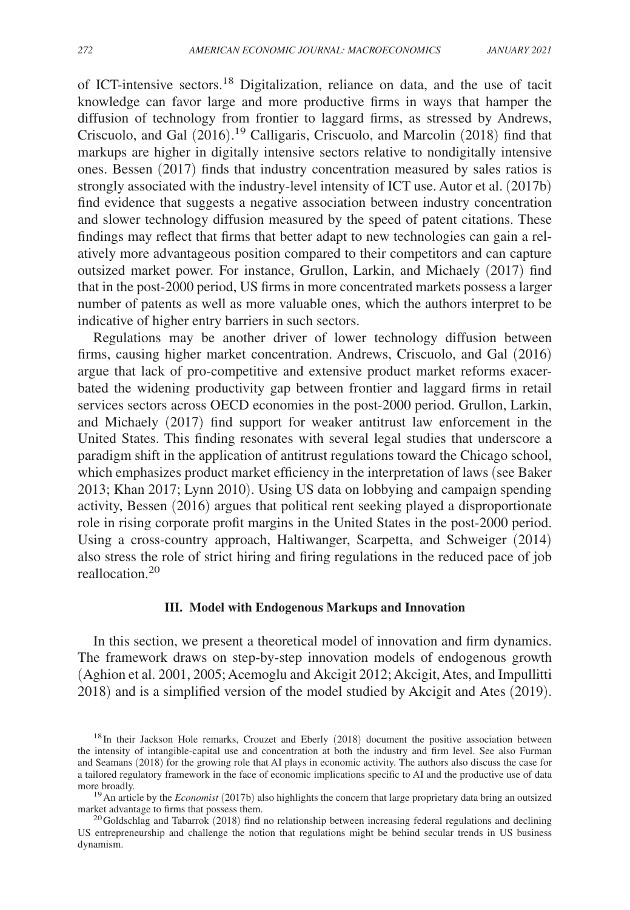of ICT-intensive sectors.18 Digitalization, reliance on data, and the use of tacit knowledge can favor large and more productive firms in ways that hamper the diffusion of technology from frontier to laggard firms, as stressed by Andrews, Criscuolo, and Gal (2016). <sup>19</sup> Calligaris, Criscuolo, and Marcolin (2018) find that markups are higher in digitally intensive sectors relative to nondigitally intensive ones. Bessen (2017) finds that industry concentration measured by sales ratios is strongly associated with the industry-level intensity of ICT use. Autor et al. (2017b) find evidence that suggests a negative association between industry concentration and slower technology diffusion measured by the speed of patent citations. These findings may reflect that firms that better adapt to new technologies can gain a relatively more advantageous position compared to their competitors and can capture outsized market power. For instance, Grullon, Larkin, and Michaely (2017) find that in the post-2000 period, US firms in more concentrated markets possess a larger number of patents as well as more valuable ones, which the authors interpret to be indicative of higher entry barriers in such sectors.

Regulations may be another driver of lower technology diffusion between firms, causing higher market concentration. Andrews, Criscuolo, and Gal (2016) argue that lack of pro-competitive and extensive product market reforms exacerbated the widening productivity gap between frontier and laggard firms in retail services sectors across OECD economies in the post-2000 period. Grullon, Larkin, and Michaely (2017) find support for weaker antitrust law enforcement in the United States. This finding resonates with several legal studies that underscore a paradigm shift in the application of antitrust regulations toward the Chicago school, which emphasizes product market efficiency in the interpretation of laws (see Baker 2013; Khan 2017; Lynn 2010). Using US data on lobbying and campaign spending activity, Bessen (2016) argues that political rent seeking played a disproportionate role in rising corporate profit margins in the United States in the post-2000 period. Using a cross-country approach, Haltiwanger, Scarpetta, and Schweiger (2014) also stress the role of strict hiring and firing regulations in the reduced pace of job reallocation.<sup>20</sup>

## **III. Model with Endogenous Markups and Innovation**

In this section, we present a theoretical model of innovation and firm dynamics. The framework draws on step-by-step innovation models of endogenous growth (Aghion et al. 2001, 2005; Acemoglu and Akcigit 2012; Akcigit, Ates, and Impullitti 2018) and is a simplified version of the model studied by Akcigit and Ates (2019).

<sup>&</sup>lt;sup>18</sup>In their Jackson Hole remarks, Crouzet and Eberly (2018) document the positive association between the intensity of intangible-capital use and concentration at both the industry and firm level. See also Furman and Seamans (2018) for the growing role that AI plays in economic activity. The authors also discuss the case for a tailored regulatory framework in the face of economic implications specific to AI and the productive use of data more broadly.

<sup>&</sup>lt;sup>19</sup> An article by the *Economist* (2017b) also highlights the concern that large proprietary data bring an outsized market advantage to firms that possess them.

 $^{20}$ Goldschlag and Tabarrok (2018) find no relationship between increasing federal regulations and declining US entrepreneurship and challenge the notion that regulations might be behind secular trends in US business dynamism.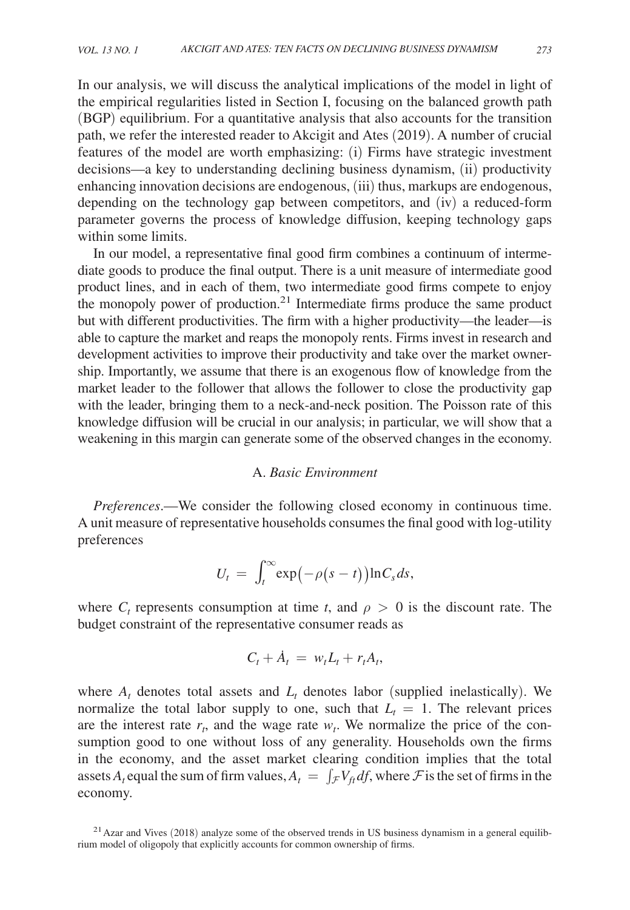In our analysis, we will discuss the analytical implications of the model in light of the empirical regularities listed in Section I, focusing on the balanced growth path (BGP) equilibrium. For a quantitative analysis that also accounts for the transition path, we refer the interested reader to Akcigit and Ates (2019). A number of crucial features of the model are worth emphasizing: (i) Firms have strategic investment decisions—a key to understanding declining business dynamism, (ii) productivity enhancing innovation decisions are endogenous, (iii) thus, markups are endogenous, depending on the technology gap between competitors, and (iv) a reduced-form parameter governs the process of knowledge diffusion, keeping technology gaps within some limits.

In our model, a representative final good firm combines a continuum of intermediate goods to produce the final output. There is a unit measure of intermediate good product lines, and in each of them, two intermediate good firms compete to enjoy the monopoly power of production. $2<sup>1</sup>$  Intermediate firms produce the same product but with different productivities. The firm with a higher productivity—the leader—is able to capture the market and reaps the monopoly rents. Firms invest in research and development activities to improve their productivity and take over the market ownership. Importantly, we assume that there is an exogenous flow of knowledge from the market leader to the follower that allows the follower to close the productivity gap with the leader, bringing them to a neck-and-neck position. The Poisson rate of this knowledge diffusion will be crucial in our analysis; in particular, we will show that a weakening in this margin can generate some of the observed changes in the economy.

## A. *Basic Environment*

*Preferences*.—We consider the following closed economy in continuous time. A unit measure of representative households consumes the final good with log-utility preferences

$$
U_t = \int_t^\infty \exp(-\rho(s-t)) \ln C_s ds,
$$

where  $C_t$  represents consumption at time *t*, and  $\rho > 0$  is the discount rate. The budget constraint of the representative consumer reads as

$$
C_t + \dot{A}_t = w_t L_t + r_t A_t,
$$

where  $A_t$  denotes total assets and  $L_t$  denotes labor (supplied inelastically). We normalize the total labor supply to one, such that  $L<sub>t</sub> = 1$ . The relevant prices are the interest rate  $r_t$ , and the wage rate  $w_t$ . We normalize the price of the consumption good to one without loss of any generality. Households own the firms in the economy, and the asset market clearing condition implies that the total assets  $A_t$  equal the sum of firm values,  $A_t = \int_{\mathcal{F}} V_{ft} df$ , where  $\mathcal{F}$  is the set of firms in the economy.

 $^{21}$  Azar and Vives (2018) analyze some of the observed trends in US business dynamism in a general equilibrium model of oligopoly that explicitly accounts for common ownership of firms.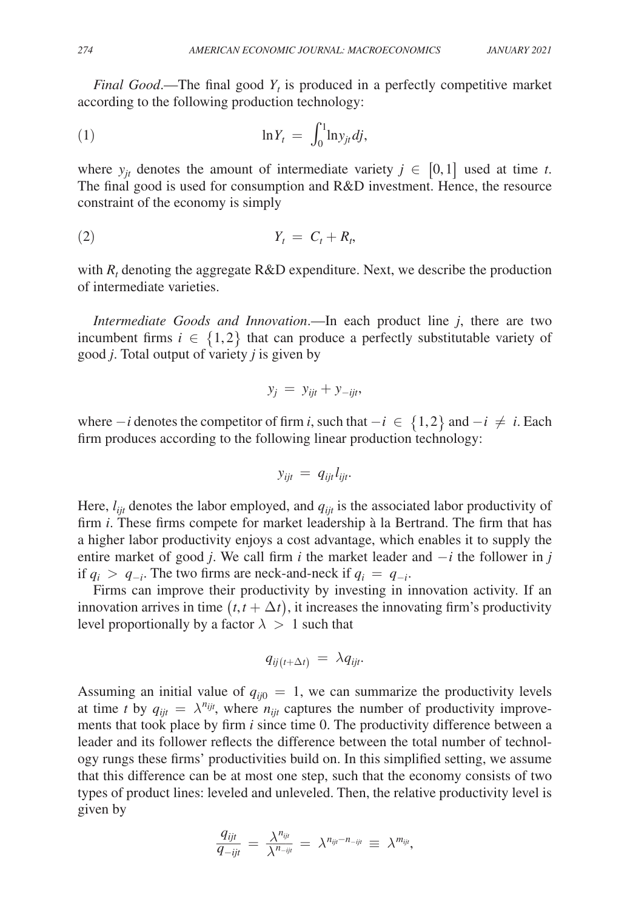*Final Good*.—The final good *Y<sup>t</sup>* is produced in a perfectly competitive market according to the following production technology:

$$
\ln Y_t = \int_0^1 \ln y_{jt} \, dj,
$$

where  $y_{jt}$  denotes the amount of intermediate variety  $j \in [0,1]$  used at time *t*. The final good is used for consumption and R&D investment. Hence, the resource constraint of the economy is simply

$$
Y_t = C_t + R_t,
$$

with  $R_t$  denoting the aggregate  $R&D$  expenditure. Next, we describe the production of intermediate varieties.

*Intermediate Goods and Innovation.*—In each product line *j*, there are two incumbent firms  $i \in \{1,2\}$  that can produce a perfectly substitutable variety of good *j* . Total output of variety *j* is given by

$$
y_j = y_{ijt} + y_{-ijt},
$$

where  $-i$  denotes the competitor of firm *i*, such that  $-i \in \{1,2\}$  and  $-i \neq i$ . Each firm produces according to the following linear production technology:

$$
y_{ijt} = q_{ijt} l_{ijt}.
$$

Here,  $l_{ijt}$  denotes the labor employed, and  $q_{ijt}$  is the associated labor productivity of firm *i* . These firms compete for market leadership à la Bertrand. The firm that has a higher labor productivity enjoys a cost advantage, which enables it to supply the entire market of good *j*. We call firm *i* the market leader and  $-i$  the follower in *j* if  $q_i > q_{-i}$ . The two firms are neck-and-neck if  $q_i = q_{-i}$ .

Firms can improve their productivity by investing in innovation activity. If an innovation arrives in time  $(t, t + \Delta t)$ , it increases the innovating firm's productivity level proportionally by a factor  $\lambda > 1$  such that

$$
q_{ij(t+\Delta t)} \, = \, \lambda q_{ijt}.
$$

Assuming an initial value of  $q_{ii0} = 1$ , we can summarize the productivity levels at time *t* by  $q_{ijt} = \lambda^{n_{ijt}}$ , where  $n_{ijt}$  captures the number of productivity improvements that took place by firm *i* since time 0. The productivity difference between a leader and its follower reflects the difference between the total number of technology rungs these firms' productivities build on. In this simplified setting, we assume that this difference can be at most one step, such that the economy consists of two types of product lines: leveled and unleveled. Then, the relative productivity level is given by

$$
\frac{q_{ijt}}{q_{-ijt}} = \frac{\lambda^{n_{ijt}}}{\lambda^{n_{-ijt}}} = \lambda^{n_{ijt} - n_{-ijt}} \equiv \lambda^{m_{ijt}},
$$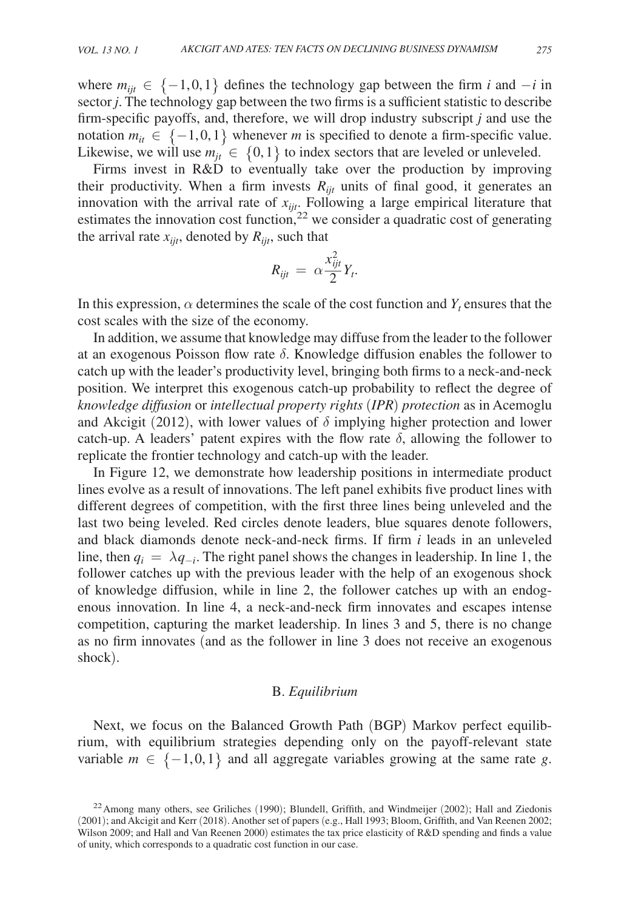where  $m_{ijt}$  ∈ {-1,0,1} defines the technology gap between the firm *i* and  $-i$  in sector *j*. The technology gap between the two firms is a sufficient statistic to describe firm-specific payoffs, and, therefore, we will drop industry subscript *j* and use the notation  $m_{it} \in \{-1, 0, 1\}$  whenever *m* is specified to denote a firm-specific value. Likewise, we will use  $m_{ij} \in \{0,1\}$  to index sectors that are leveled or unleveled.

Firms invest in R&D to eventually take over the production by improving their productivity. When a firm invests  $R_{ijt}$  units of final good, it generates an innovation with the arrival rate of *xijt* . Following a large empirical literature that estimates the innovation cost function,<sup>22</sup> we consider a quadratic cost of generating the arrival rate  $x_{ijt}$ , denoted by  $R_{ijt}$ , such that

$$
R_{ijt} = \alpha \frac{x_{ijt}^2}{2} Y_t.
$$

In this expression,  $\alpha$  determines the scale of the cost function and  $Y_t$  ensures that the cost scales with the size of the economy.

In addition, we assume that knowledge may diffuse from the leader to the follower at an exogenous Poisson flow rate  $\delta$ . Knowledge diffusion enables the follower to catch up with the leader's productivity level, bringing both firms to a neck-and-neck position. We interpret this exogenous catch-up probability to reflect the degree of *knowledge diffusion* or *intellectual property rights* (*IPR*) *protection* as in Acemoglu and Akcigit (2012), with lower values of  $\delta$  implying higher protection and lower catch-up. A leaders' patent expires with the flow rate  $\delta$ , allowing the follower to replicate the frontier technology and catch-up with the leader.

In Figure 12, we demonstrate how leadership positions in intermediate product lines evolve as a result of innovations. The left panel exhibits five product lines with different degrees of competition, with the first three lines being unleveled and the last two being leveled. Red circles denote leaders, blue squares denote followers, and black diamonds denote neck-and-neck firms. If firm *i* leads in an unleveled line, then  $q_i = \lambda q_{-i}$ . The right panel shows the changes in leadership. In line 1, the follower catches up with the previous leader with the help of an exogenous shock of knowledge diffusion, while in line 2, the follower catches up with an endogenous innovation. In line 4, a neck-and-neck firm innovates and escapes intense competition, capturing the market leadership. In lines 3 and 5, there is no change as no firm innovates (and as the follower in line 3 does not receive an exogenous shock).

## B. *Equilibrium*

Next, we focus on the Balanced Growth Path (BGP) Markov perfect equilibrium, with equilibrium strategies depending only on the payoff-relevant state variable  $m \in \{-1, 0, 1\}$  and all aggregate variables growing at the same rate *g*.

 $^{22}$ Among many others, see Griliches (1990); Blundell, Griffith, and Windmeijer (2002); Hall and Ziedonis (2001); and Akcigit and Kerr (2018). Another set of papers (e.g., Hall 1993; Bloom, Griffith, and Van Reenen 2002; Wilson 2009; and Hall and Van Reenen 2000) estimates the tax price elasticity of R&D spending and finds a value of unity, which corresponds to a quadratic cost function in our case.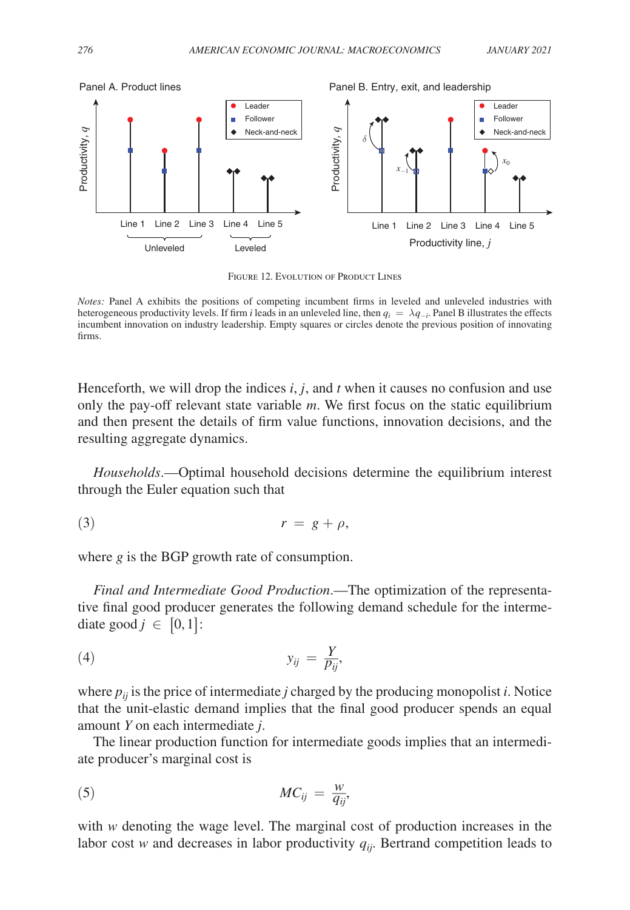

FIGURE 12. EVOLUTION OF PRODUCT LINES

*Notes:* Panel A exhibits the positions of competing incumbent firms in leveled and unleveled industries with heterogeneous productivity levels. If firm *i* leads in an unleveled line, then  $q_i = \lambda q_{-i}$ . Panel B illustrates the effects incumbent innovation on industry leadership. Empty squares or circles denote the previous position of innovating firms.

Henceforth, we will drop the indices  $i, j$ , and  $t$  when it causes no confusion and use only the pay-off relevant state variable *m*. We first focus on the static equilibrium and then present the details of firm value functions, innovation decisions, and the resulting aggregate dynamics.

*Households*.—Optimal household decisions determine the equilibrium interest through the Euler equation such that

$$
(3) \t\t\t r = g + \rho,
$$

where *g* is the BGP growth rate of consumption.

*Final and Intermediate Good Production*.—The optimization of the representative final good producer generates the following demand schedule for the intermediate good  $j \in [0,1]$ :

$$
y_{ij} = \frac{Y}{p_{ij}},
$$

where  $p_{ij}$  is the price of intermediate *j* charged by the producing monopolist *i*. Notice that the unit-elastic demand implies that the final good producer spends an equal amount *Y* on each intermediate *j* .

The linear production function for intermediate goods implies that an intermediate producer's marginal cost is

$$
MC_{ij} = \frac{w}{q_{ij}},
$$

with *w* denoting the wage level. The marginal cost of production increases in the labor cost *w* and decreases in labor productivity  $q_{ii}$ . Bertrand competition leads to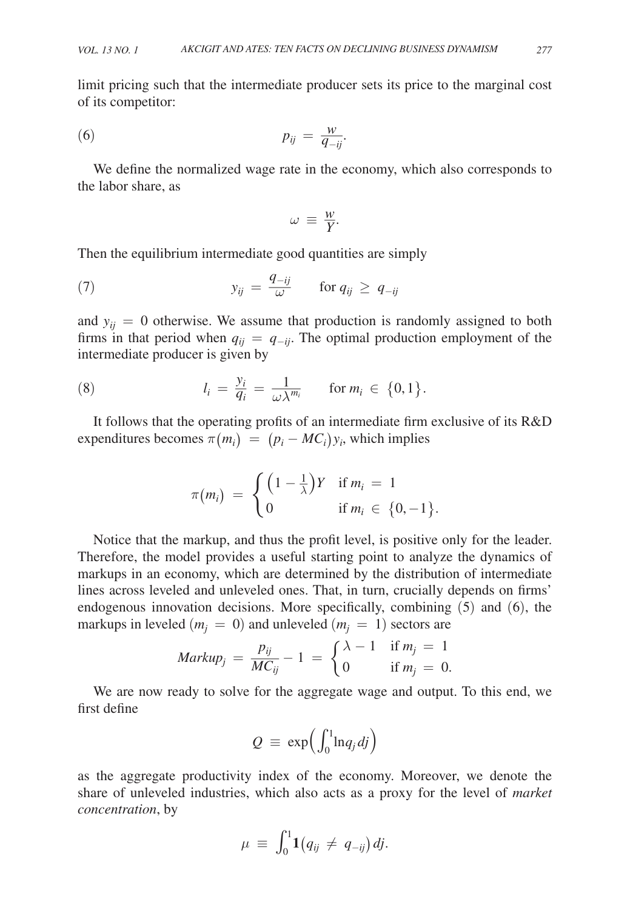limit pricing such that the intermediate producer sets its price to the marginal cost of its competitor:

(6)

\n
$$
p_{ij} = \frac{w}{q_{-ij}}.
$$

We define the normalized wage rate in the economy, which also corresponds to the labor share, as

$$
\omega \equiv \frac{w}{Y}.
$$

Then the equilibrium intermediate good quantities are simply  
(7) 
$$
y_{ij} = \frac{q_{-ij}}{\omega}
$$
 for  $q_{ij} \ge q_{-ij}$ 

and  $y_{ij} = 0$  otherwise. We assume that production is randomly assigned to both firms in that period when  $q_{ij} = q_{-ij}$ . The optimal production employment of the intermediate producer is given by

intermediate producer is given by  
\n(8) 
$$
l_i = \frac{y_i}{q_i} = \frac{1}{\omega \lambda^{m_i}} \quad \text{for } m_i \in \{0, 1\}.
$$

It follows that the operating profits of an intermediate firm exclusive of its R&D

expenditures becomes 
$$
\pi(m_i) = (p_i - MC_i)y_i
$$
, which implies

\n
$$
\pi(m_i) = \begin{cases} \left(1 - \frac{1}{\lambda}\right)Y & \text{if } m_i = 1 \\ 0 & \text{if } m_i \in \{0, -1\}. \end{cases}
$$

Notice that the markup, and thus the profit level, is positive only for the leader. Therefore, the model provides a useful starting point to analyze the dynamics of markups in an economy, which are determined by the distribution of intermediate lines across leveled and unleveled ones. That, in turn, crucially depends on firms' endogenous innovation decisions. More specifically, combining (5) and (6), the  $\frac{3}{5}$  (  $\frac{3}{5}$ 

markups in leveled 
$$
(m_j = 0)
$$
 and unleveled  $(m_j = 1)$  sectors are  
\n
$$
Markup_j = \frac{p_{ij}}{MC_{ij}} - 1 = \begin{cases} \lambda - 1 & \text{if } m_j = 1 \\ 0 & \text{if } m_j = 0. \end{cases}
$$

We are now ready to solve for the aggregate wage and output. To this end, we first define

$$
Q \; \equiv \; \exp\!\Big(\!\int_0^1\!\ln\!{q_j}\,dj\Big)
$$

as the aggregate productivity index of the economy. Moreover, we denote the share of unleveled industries, which also acts as a proxy for the level of *market concentration*, by

$$
\mu \ \equiv \ \int_0^1 \! {\bf 1} \big( q_{ij} \, \neq \, q_{-ij} \big) \, dj.
$$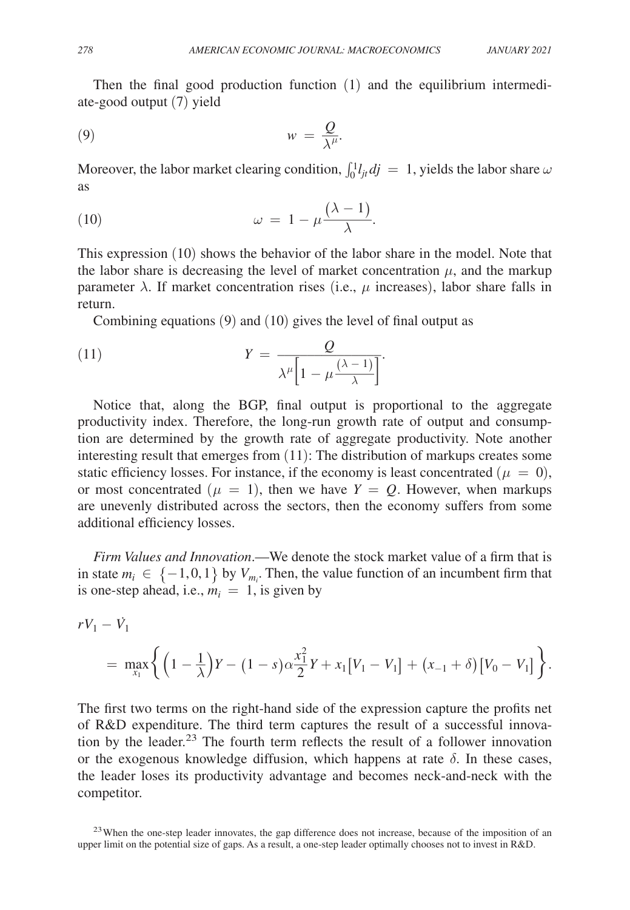Then the final good production function (1) and the equilibrium intermediate-good output (7) yield

$$
(9) \t\t\t w = \frac{Q}{\lambda^{\mu}}.
$$

Moreover, the labor market clearing condition,  $\int_0^1 l_{jt} dj = 1$ , yields the labor share  $\omega$ as

Moreover, the labor market clearing condition, 
$$
\int_0^1 l_{jt} d
$$
  
as  
(10)  $\omega = 1 - \mu \frac{(\lambda - 1)}{\lambda}$ .

This expression (10) shows the behavior of the labor share in the model. Note that the labor share is decreasing the level of market concentration  $\mu$ , and the markup parameter  $\lambda$ . If market concentration rises (i.e.,  $\mu$  increases), labor share falls in return.

Combining equations (9) and (10) gives the level of final output as  
\n(11) 
$$
Y = \frac{Q}{\lambda^{\mu} \left[1 - \mu \frac{(\lambda - 1)}{\lambda}\right]}.
$$

Notice that, along the BGP, final output is proportional to the aggregate productivity index. Therefore, the long-run growth rate of output and consumption are determined by the growth rate of aggregate productivity. Note another interesting result that emerges from (11): The distribution of markups creates some static efficiency losses. For instance, if the economy is least concentrated ( $\mu = 0$ ), or most concentrated  $(\mu = 1)$ , then we have  $Y = Q$ . However, when markups are unevenly distributed across the sectors, then the economy suffers from some additional efficiency losses.

*Firm Values and Innovation*.—We denote the stock market value of a firm that is in state  $m_i \in \{-1, 0, 1\}$  by  $V_{m_i}$ . Then, the value function of an incumbent firm that is one-step ahead, i.e.,  $m_i = 1$ , is given by

$$
rV_1 - \dot{V}_1
$$
  
= 
$$
\max_{x_1} \left\{ \left(1 - \frac{1}{\lambda}\right)Y - (1 - s)\alpha \frac{x_1^2}{2}Y + x_1[V_1 - V_1] + (x_{-1} + \delta)[V_0 - V_1] \right\}.
$$

The first two terms on the right-hand side of the expression capture the profits net of R&D expenditure. The third term captures the result of a successful innovation by the leader.<sup>23</sup> The fourth term reflects the result of a follower innovation or the exogenous knowledge diffusion, which happens at rate  $\delta$ . In these cases, the leader loses its productivity advantage and becomes neck-and-neck with the competitor.

<sup>23</sup> When the one-step leader innovates, the gap difference does not increase, because of the imposition of an upper limit on the potential size of gaps. As a result, a one-step leader optimally chooses not to invest in R&D.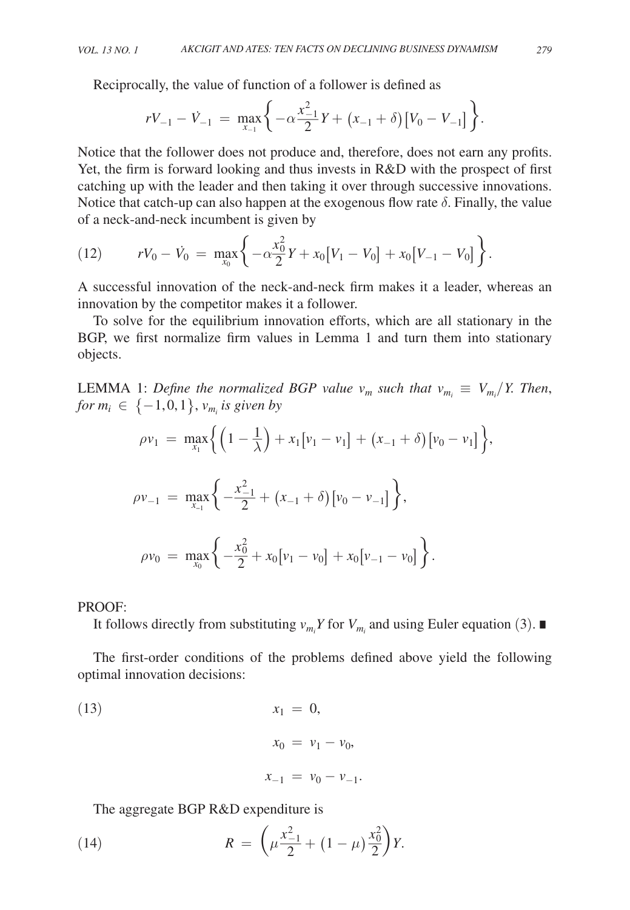Reciprocally, the value of function of a follower is defined as  
\n
$$
rV_{-1} - V_{-1} = \max_{x_{-1}} \left\{ -\alpha \frac{x_{-1}^2}{2} Y + (x_{-1} + \delta) [V_0 - V_{-1}] \right\}.
$$

Notice that the follower does not produce and, therefore, does not earn any profits. Yet, the firm is forward looking and thus invests in R&D with the prospect of first catching up with the leader and then taking it over through successive innovations. Notice that catch-up can also happen at the exogenous flow rate  $\delta$ . Finally, the value of a neck-and-neck incumbent is given by

(12) 
$$
rV_0 - \dot{V}_0 = \max_{x_0} \left\{ -\alpha \frac{x_0^2}{2} Y + x_0 [V_1 - V_0] + x_0 [V_{-1} - V_0] \right\}.
$$

A successful innovation of the neck-and-neck firm makes it a leader, whereas an innovation by the competitor makes it a follower.

To solve for the equilibrium innovation efforts, which are all stationary in the BGP, we first normalize firm values in Lemma 1 and turn them into stationary objects.

LEMMA 1: Define the normalized BGP value  $v_m$  such that  $v_{m_i} \equiv V_{m_i}/Y$ . Then,  $for m_i \in \{-1,0,1\}, v_{m_i}$  is given by

$$
\rho v_1 = \max_{x_1} \left\{ \left( 1 - \frac{1}{\lambda} \right) + x_1 \left[ v_1 - v_1 \right] + \left( x_{-1} + \delta \right) \left[ v_0 - v_1 \right] \right\}
$$
  

$$
\rho v_{-1} = \max_{x_{-1}} \left\{ -\frac{x_{-1}^2}{2} + \left( x_{-1} + \delta \right) \left[ v_0 - v_{-1} \right] \right\},
$$

$$
\rho v_0 = \max_{x_0} \left\{ -\frac{x_0^2}{2} + x_0 \left[ v_1 - v_0 \right] + x_0 \left[ v_{-1} - v_0 \right] \right\}.
$$

PROOF:

It follows directly from substituting  $v_{m_i} Y$  for  $V_{m_i}$  and using Euler equation (3). ■

The first-order conditions of the problems defined above yield the following optimal innovation decisions:

(13) 
$$
x_1 = 0,
$$
  
\n $x_0 = v_1 - v_0,$   
\n $x_{-1} = v_0 - v_{-1}.$ 

The aggregate BGP R&D expenditure is  
(14) 
$$
R = \left(\mu \frac{x_{-1}^2}{2} + (1 - \mu) \frac{x_0^2}{2}\right) Y.
$$

,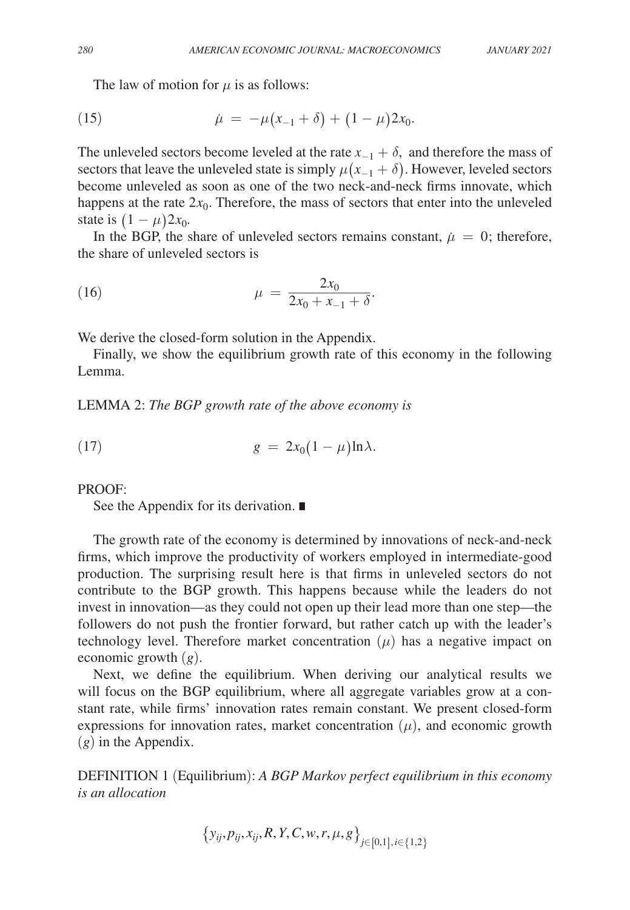The law of motion for  $\mu$  is as follows:

(15) 
$$
\dot{\mu} = -\mu(x_{-1} + \delta) + (1 - \mu)2x_0.
$$

The unleveled sectors become leveled at the rate  $x_{-1} + \delta$ , and therefore the mass of sectors that leave the unleveled state is simply  $\mu(x_{-1} + \delta)$ . However, leveled sectors become unleveled as soon as one of the two neck-and-neck firms innovate, which happens at the rate  $2x_0$ . Therefore, the mass of sectors that enter into the unleveled state is  $(1 - \mu)2x_0$ .

In the BGP, the share of unleveled sectors remains constant,  $\mu = 0$ ; therefore, the share of unleveled sectors is

(16) 
$$
\mu = \frac{2x_0}{2x_0 + x_{-1} + \delta}.
$$

We derive the closed-form solution in the Appendix.

Finally, we show the equilibrium growth rate of this economy in the following Lemma.

LEMMA 2: *The BGP growth rate of the above economy is*

$$
(17) \t\t\t g = 2x_0(1-\mu)\ln\lambda.
$$

PROOF:

See the Appendix for its derivation. ∎

The growth rate of the economy is determined by innovations of neck-and-neck firms, which improve the productivity of workers employed in intermediate-good production. The surprising result here is that firms in unleveled sectors do not contribute to the BGP growth. This happens because while the leaders do not invest in innovation—as they could not open up their lead more than one step—the followers do not push the frontier forward, but rather catch up with the leader's technology level. Therefore market concentration  $(\mu)$  has a negative impact on economic growth (*g*).

Next, we define the equilibrium. When deriving our analytical results we will focus on the BGP equilibrium, where all aggregate variables grow at a constant rate, while firms' innovation rates remain constant. We present closed-form expressions for innovation rates, market concentration  $(\mu)$ , and economic growth (*g*) in the Appendix.

DEFINITION 1 (Equilibrium): *A BGP Markov perfect equilibrium in this economy is an allocation*

$$
\big\{y_{ij},p_{ij},x_{ij},R,Y,C,w,r,\mu,g\big\}_{j\in\left[0,1\right],\,i\in\{1,2\}}
$$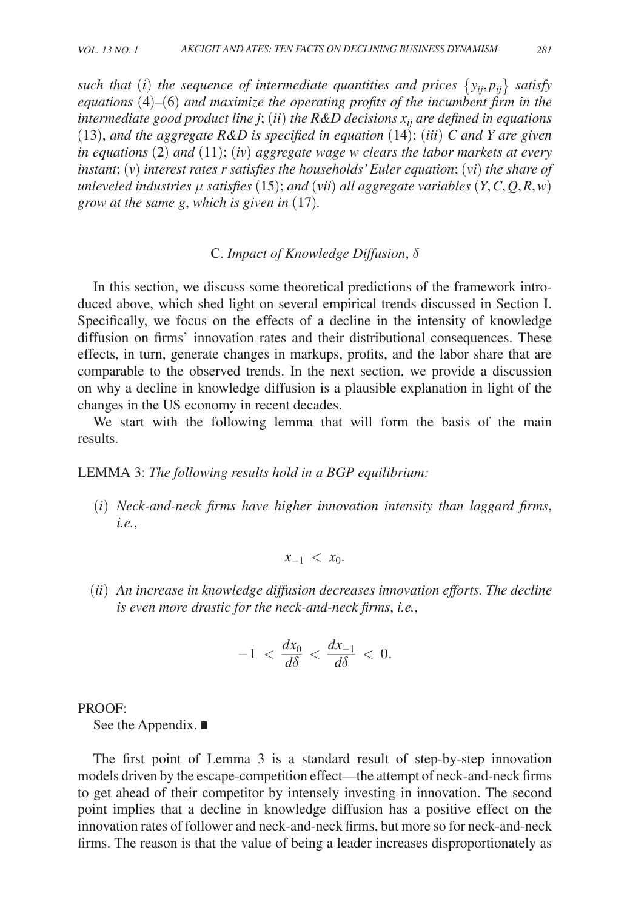*such that (i) the sequence of intermediate quantities and prices*  $\{y_{ij}, p_{ij}\}\$  *satisfy equations* (4)*–*(6) *and maximize the operating profits of the incumbent firm in the intermediate good product line j* ; (*ii* ) *the R&D decisions xij are defined in equations*  (13), and the aggregate  $R&D$  is specified in equation (14); (*iii*)  $C$  and  $Y$  are given *in equations* (2) *and* (11); (*iv*) *aggregate wage w clears the labor markets at every instant*; (*v*) *interest rates r satisfies the households' Euler equation*; (*vi*) *the share of unleveled industries* μ *satisfies* (15); *and* (*vii*) *all aggregate variables* (*Y*, *C*, *Q*, *R*, *w*) *grow at the same g* , *which is given in* (17)*.*

## C. *Impact of Knowledge Diffusion*,δ

In this section, we discuss some theoretical predictions of the framework introduced above, which shed light on several empirical trends discussed in Section I. Specifically, we focus on the effects of a decline in the intensity of knowledge diffusion on firms' innovation rates and their distributional consequences. These effects, in turn, generate changes in markups, profits, and the labor share that are comparable to the observed trends. In the next section, we provide a discussion on why a decline in knowledge diffusion is a plausible explanation in light of the changes in the US economy in recent decades.

We start with the following lemma that will form the basis of the main results.

#### LEMMA 3: *The following results hold in a BGP equilibrium:*

 (*i*) *Neck-and-neck firms have higher innovation intensity than laggard firms*, *i.e.*,

$$
x_{-1} < x_0
$$

 (*ii*) *An increase in knowledge diffusion decreases innovation efforts. The decline is even more drastic for the neck-and-neck firms*, *i.e.*,

$$
-1 < \frac{dx_0}{d\delta} < \frac{dx_{-1}}{d\delta} < 0.
$$

PROOF:

See the Appendix. ∎

The first point of Lemma 3 is a standard result of step-by-step innovation models driven by the escape-competition effect—the attempt of neck-and-neck firms to get ahead of their competitor by intensely investing in innovation. The second point implies that a decline in knowledge diffusion has a positive effect on the innovation rates of follower and neck-and-neck firms, but more so for neck-and-neck firms. The reason is that the value of being a leader increases disproportionately as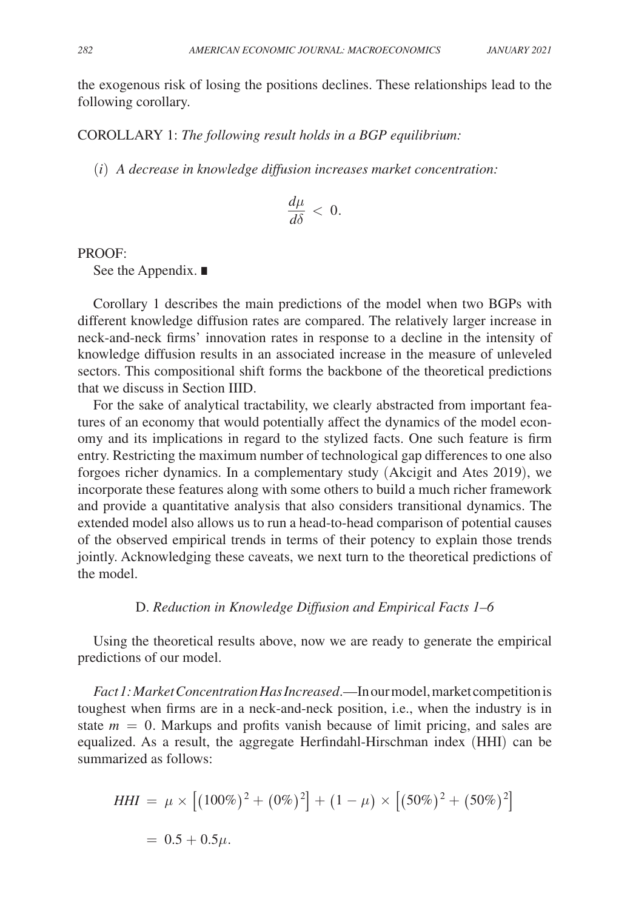the exogenous risk of losing the positions declines. These relationships lead to the following corollary.

COROLLARY 1: *The following result holds in a BGP equilibrium:*

(*i*) *A decrease in knowledge diffusion increases market concentration:*

$$
\frac{d\mu}{d\delta} < 0.
$$

PROOF:

See the Appendix. ∎

Corollary 1 describes the main predictions of the model when two BGPs with different knowledge diffusion rates are compared. The relatively larger increase in neck-and-neck firms' innovation rates in response to a decline in the intensity of knowledge diffusion results in an associated increase in the measure of unleveled sectors. This compositional shift forms the backbone of the theoretical predictions that we discuss in Section IIID.

For the sake of analytical tractability, we clearly abstracted from important features of an economy that would potentially affect the dynamics of the model economy and its implications in regard to the stylized facts. One such feature is firm entry. Restricting the maximum number of technological gap differences to one also forgoes richer dynamics. In a complementary study (Akcigit and Ates 2019), we incorporate these features along with some others to build a much richer framework and provide a quantitative analysis that also considers transitional dynamics. The extended model also allows us to run a head-to-head comparison of potential causes of the observed empirical trends in terms of their potency to explain those trends jointly. Acknowledging these caveats, we next turn to the theoretical predictions of the model.

## D. *Reduction in Knowledge Diffusion and Empirical Facts 1–6*

Using the theoretical results above, now we are ready to generate the empirical predictions of our model.

*Fact 1: Market Concentration Has Increased*.—In our model, market competition is toughest when firms are in a neck-and-neck position, i.e., when the industry is in state  $m = 0$ . Markups and profits vanish because of limit pricing, and sales are equalized. As a result, the aggregate Herfindahl-Hirschman index (HHI) can be summarized as follows:

$$
HHI = \mu \times [(100\%)^2 + (0\%)^2] + (1 - \mu) \times [(50\%)^2 + (50\%)^2]
$$
  
= 0.5 + 0.5 $\mu$ .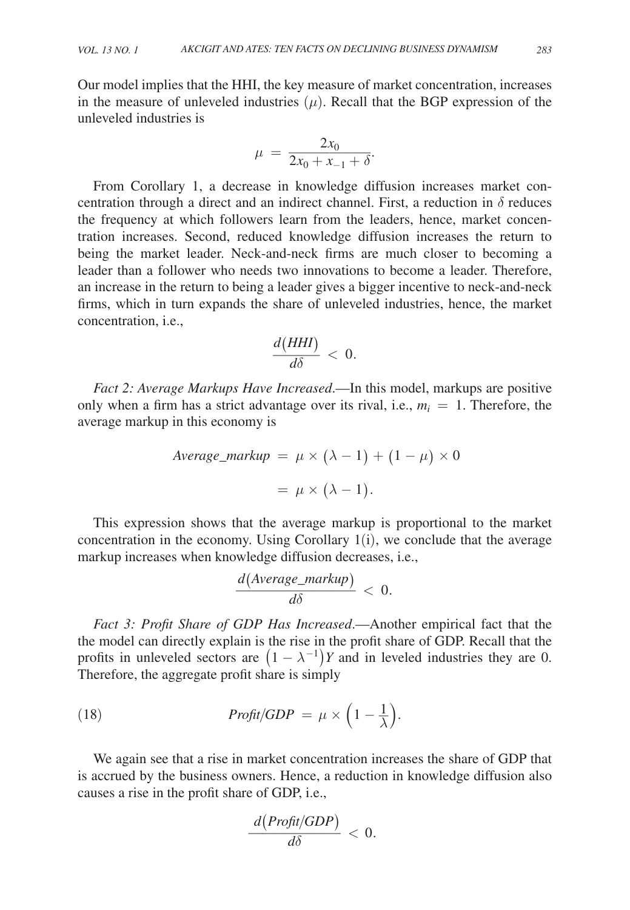Our model implies that the HHI, the key measure of market concentration, increases in the measure of unleveled industries  $(\mu)$ . Recall that the BGP expression of the unleveled industries is  $\ddot{\cdot}$ 

$$
\mu \, = \, \frac{2x_0}{2x_0 + x_{-1} + \delta}
$$

 .From Corollary 1, a decrease in knowledge diffusion increases market concentration through a direct and an indirect channel. First, a reduction in  $\delta$  reduces the frequency at which followers learn from the leaders, hence, market concentration increases. Second, reduced knowledge diffusion increases the return to being the market leader. Neck-and-neck firms are much closer to becoming a leader than a follower who needs two innovations to become a leader. Therefore, an increase in the return to being a leader gives a bigger incentive to neck-and-neck firms, which in turn expands the share of unleveled industries, hence, the market concentration, i.e., Example 1<br>share of<br> $\frac{d(HHI)}{d\delta}$ 

$$
\frac{d(HHI)}{d\delta} < 0.
$$

*Fact 2: Average Markups Have Increased*.—In this model, markups are positive only when a firm has a strict advantage over its rival, i.e.,  $m_i = 1$ . Therefore, the average markup in this economy is

$$
Average\_markup = \mu \times (\lambda - 1) + (1 - \mu) \times 0
$$

$$
= \mu \times (\lambda - 1).
$$

This expression shows that the average markup is proportional to the market concentration in the economy. Using Corollary 1(i), we conclude that the average markup increases when knowledge diffusion decreases, i.e.,

my. Using Corollary 1(i), w  
swledge diffusion decreases,  

$$
\frac{d(Average\_markup)}{d\delta} < 0.
$$

*Fact 3: Profit Share of GDP Has Increased*.—Another empirical fact that the the model can directly explain is the rise in the profit share of GDP. Recall that the profits in unleveled sectors are  $(1 - \lambda^{-1})Y$  and in leveled industries they are 0. Therefore, the aggregate profit share is simply

(18) 
$$
Profit/GDP = \mu \times \left(1 - \frac{1}{\lambda}\right).
$$

We again see that a rise in market concentration increases the share of GDP that is accrued by the business owners. Hence, a reduction in knowledge diffusion also causes a rise in the profit share of GDP, i.e.,

e of GDP, i.e.,  
\n
$$
\frac{d(Profit/GDP)}{d\delta} < 0.
$$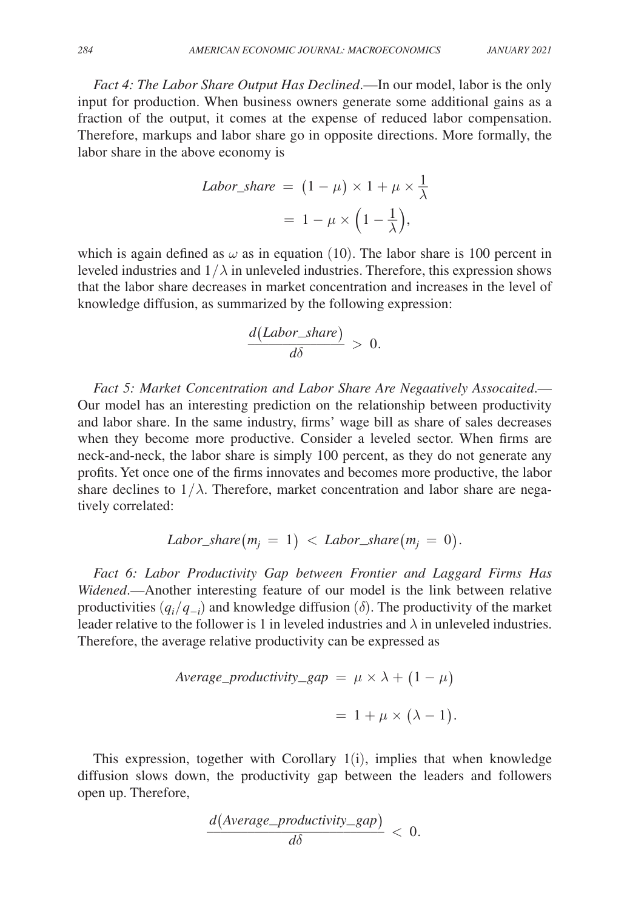*Fact 4: The Labor Share Output Has Declined*.—In our model, labor is the only input for production. When business owners generate some additional gains as a fraction of the output, it comes at the expense of reduced labor compensation. Therefore, markups and labor share go in opposite directions. More formally, the labor share in the above economy is

$$
Labor\_share = (1 - \mu) \times 1 + \mu \times \frac{1}{\lambda}
$$

$$
= 1 - \mu \times \left(1 - \frac{1}{\lambda}\right),
$$

which is again defined as  $\omega$  as in equation (10). The labor share is 100 percent in leveled industries and  $1/\lambda$  in unleveled industries. Therefore, this expression shows that the labor share decreases in market concentration and increases in the level of knowledge diffusion, as summarized by the following expression:<br> $\frac{d(Labor\_share)}{d\delta} > 0.$ 

$$
\frac{d(Labor\_share)}{d\delta} > 0.
$$

Fact 5: Market Concentration and Labor Share Are Negaatively Assocaited.— Our model has an interesting prediction on the relationship between productivity and labor share. In the same industry, firms' wage bill as share of sales decreases when they become more productive. Consider a leveled sector. When firms are neck-and-neck, the labor share is simply 100 percent, as they do not generate any profits. Yet once one of the firms innovates and becomes more productive, the labor share declines to  $1/\lambda$ . Therefore, market concentration and labor share are negatively correlated:

$$
Labor\_share(m_j = 1) < Labor\_share(m_j = 0).
$$

*Fact 6: Labor Productivity Gap between Frontier and Laggard Firms Has Widened*.—Another interesting feature of our model is the link between relative productivities  $(q_i/q_{-i})$  and knowledge diffusion ( $\delta$ ). The productivity of the market leader relative to the follower is 1 in leveled industries and  $\lambda$  in unleveled industries. Therefore, the average relative productivity can be expressed as

$$
Average\_productivity\_gap = \mu \times \lambda + (1 - \mu)
$$

$$
= 1 + \mu \times (\lambda - 1).
$$

This expression, together with Corollary  $1(i)$ , implies that when knowledge diffusion slows down, the productivity gap between the leaders and followers open up. Therefore,

The productivity gap between the  
\n
$$
\frac{d(Average\_productivity\_gap)}{d\delta} < 0.
$$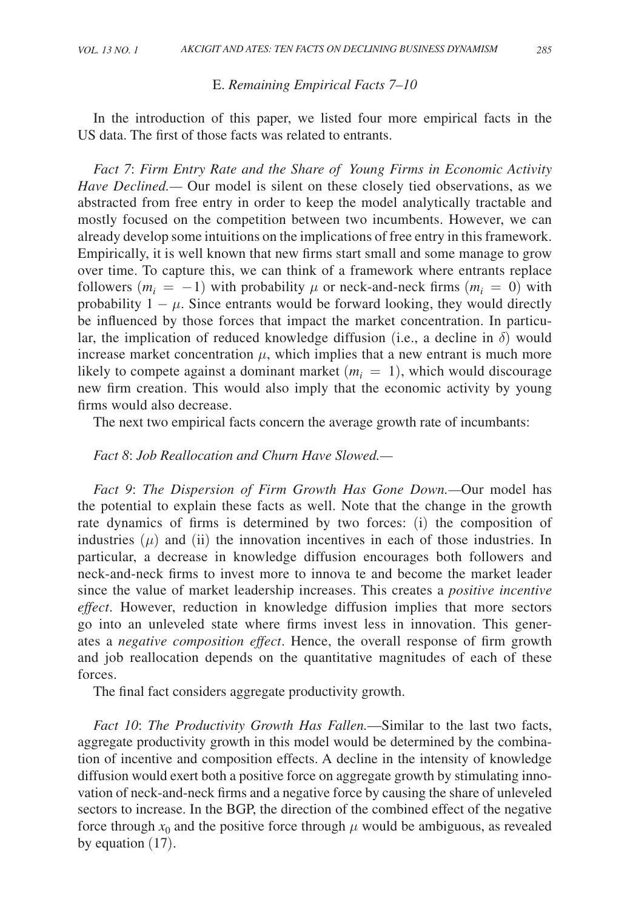#### E. *Remaining Empirical Facts 7–10*

In the introduction of this paper, we listed four more empirical facts in the US data. The first of those facts was related to entrants.

*Fact 7*: *Firm Entry Rate and the Share of Young Firms in Economic Activity Have Declined.—* Our model is silent on these closely tied observations, as we abstracted from free entry in order to keep the model analytically tractable and mostly focused on the competition between two incumbents. However, we can already develop some intuitions on the implications of free entry in this framework. Empirically, it is well known that new firms start small and some manage to grow over time. To capture this, we can think of a framework where entrants replace followers  $(m_i = -1)$  with probability  $\mu$  or neck-and-neck firms  $(m_i = 0)$  with probability  $1 - \mu$ . Since entrants would be forward looking, they would directly be influenced by those forces that impact the market concentration. In particular, the implication of reduced knowledge diffusion (i.e., a decline in  $\delta$ ) would increase market concentration  $\mu$ , which implies that a new entrant is much more likely to compete against a dominant market  $(m<sub>i</sub> = 1)$ , which would discourage new firm creation. This would also imply that the economic activity by young firms would also decrease.

The next two empirical facts concern the average growth rate of incumbants:

# *Fact 8*: *Job Reallocation and Churn Have Slowed. —*

*Fact 9*: *The Dispersion of Firm Growth Has Gone Down. —*Our model has the potential to explain these facts as well. Note that the change in the growth rate dynamics of firms is determined by two forces: (i) the composition of industries  $(\mu)$  and (ii) the innovation incentives in each of those industries. In particular, a decrease in knowledge diffusion encourages both followers and neck-and-neck firms to invest more to innova te and become the market leader since the value of market leadership increases. This creates a *positive incentive effect*. However, reduction in knowledge diffusion implies that more sectors go into an unleveled state where firms invest less in innovation. This generates a *negative composition effect*. Hence, the overall response of firm growth and job reallocation depends on the quantitative magnitudes of each of these forces.

The final fact considers aggregate productivity growth.

*Fact 10*: *The Productivity Growth Has Fallen.*—Similar to the last two facts, aggregate productivity growth in this model would be determined by the combination of incentive and composition effects. A decline in the intensity of knowledge diffusion would exert both a positive force on aggregate growth by stimulating innovation of neck-and-neck firms and a negative force by causing the share of unleveled sectors to increase. In the BGP, the direction of the combined effect of the negative force through  $x_0$  and the positive force through  $\mu$  would be ambiguous, as revealed by equation (17).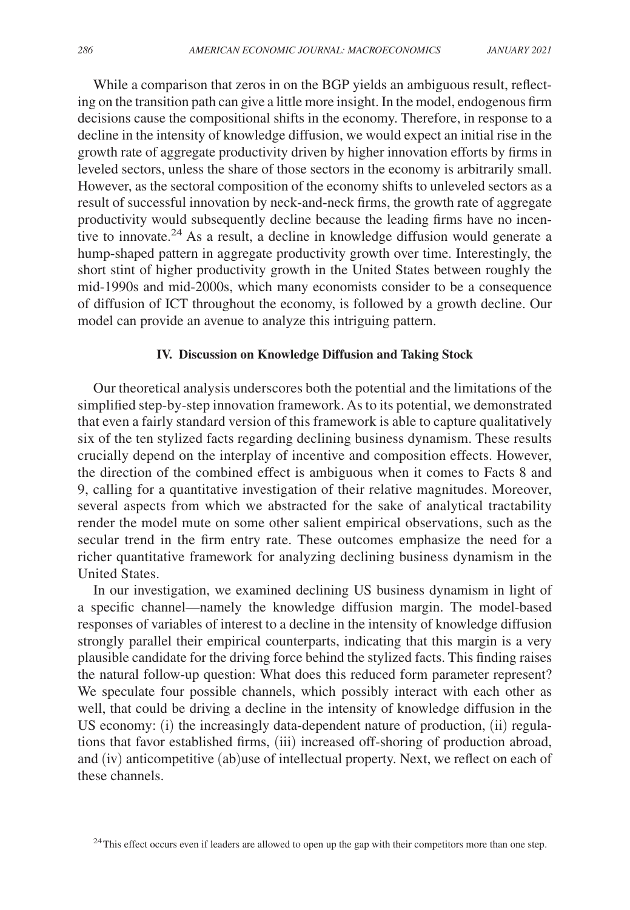While a comparison that zeros in on the BGP yields an ambiguous result, reflecting on the transition path can give a little more insight. In the model, endogenous firm decisions cause the compositional shifts in the economy. Therefore, in response to a decline in the intensity of knowledge diffusion, we would expect an initial rise in the growth rate of aggregate productivity driven by higher innovation efforts by firms in leveled sectors, unless the share of those sectors in the economy is arbitrarily small. However, as the sectoral composition of the economy shifts to unleveled sectors as a result of successful innovation by neck-and-neck firms, the growth rate of aggregate productivity would subsequently decline because the leading firms have no incentive to innovate.<sup>24</sup> As a result, a decline in knowledge diffusion would generate a hump-shaped pattern in aggregate productivity growth over time. Interestingly, the short stint of higher productivity growth in the United States between roughly the mid-1990s and mid-2000s, which many economists consider to be a consequence of diffusion of ICT throughout the economy, is followed by a growth decline. Our model can provide an avenue to analyze this intriguing pattern.

## **IV. Discussion on Knowledge Diffusion and Taking Stock**

Our theoretical analysis underscores both the potential and the limitations of the simplified step-by-step innovation framework. As to its potential, we demonstrated that even a fairly standard version of this framework is able to capture qualitatively six of the ten stylized facts regarding declining business dynamism. These results crucially depend on the interplay of incentive and composition effects. However, the direction of the combined effect is ambiguous when it comes to Facts 8 and 9, calling for a quantitative investigation of their relative magnitudes. Moreover, several aspects from which we abstracted for the sake of analytical tractability render the model mute on some other salient empirical observations, such as the secular trend in the firm entry rate. These outcomes emphasize the need for a richer quantitative framework for analyzing declining business dynamism in the United States.

In our investigation, we examined declining US business dynamism in light of a specific channel—namely the knowledge diffusion margin. The model-based responses of variables of interest to a decline in the intensity of knowledge diffusion strongly parallel their empirical counterparts, indicating that this margin is a very plausible candidate for the driving force behind the stylized facts. This finding raises the natural follow-up question: What does this reduced form parameter represent? We speculate four possible channels, which possibly interact with each other as well, that could be driving a decline in the intensity of knowledge diffusion in the US economy: (i) the increasingly data-dependent nature of production, (ii) regulations that favor established firms, (iii) increased off-shoring of production abroad, and (iv) anticompetitive (ab)use of intellectual property. Next, we reflect on each of these channels.

<sup>24</sup>This effect occurs even if leaders are allowed to open up the gap with their competitors more than one step.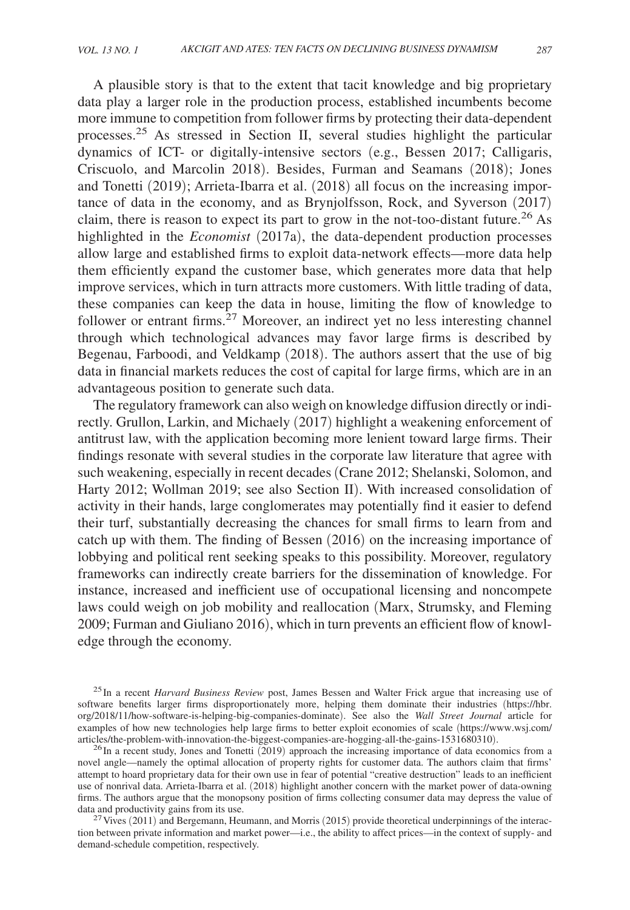A plausible story is that to the extent that tacit knowledge and big proprietary data play a larger role in the production process, established incumbents become more immune to competition from follower firms by protecting their data-dependent processes.25 As stressed in Section II, several studies highlight the particular dynamics of ICT- or digitally-intensive sectors (e.g., Bessen 2017; Calligaris, Criscuolo, and Marcolin 2018). Besides, Furman and Seamans (2018); Jones and Tonetti (2019); Arrieta-Ibarra et al. (2018) all focus on the increasing importance of data in the economy, and as Brynjolfsson, Rock, and Syverson (2017) claim, there is reason to expect its part to grow in the not-too-distant future.<sup>26</sup> As highlighted in the *Economist* (2017a), the data-dependent production processes allow large and established firms to exploit data-network effects—more data help them efficiently expand the customer base, which generates more data that help improve services, which in turn attracts more customers. With little trading of data, these companies can keep the data in house, limiting the flow of knowledge to follower or entrant firms.<sup>27</sup> Moreover, an indirect yet no less interesting channel through which technological advances may favor large firms is described by Begenau, Farboodi, and Veldkamp (2018). The authors assert that the use of big data in financial markets reduces the cost of capital for large firms, which are in an advantageous position to generate such data.

The regulatory framework can also weigh on knowledge diffusion directly or indirectly. Grullon, Larkin, and Michaely (2017) highlight a weakening enforcement of antitrust law, with the application becoming more lenient toward large firms. Their findings resonate with several studies in the corporate law literature that agree with such weakening, especially in recent decades (Crane 2012; Shelanski, Solomon, and Harty 2012; Wollman 2019; see also Section II). With increased consolidation of activity in their hands, large conglomerates may potentially find it easier to defend their turf, substantially decreasing the chances for small firms to learn from and catch up with them. The finding of Bessen (2016) on the increasing importance of lobbying and political rent seeking speaks to this possibility. Moreover, regulatory frameworks can indirectly create barriers for the dissemination of knowledge. For instance, increased and inefficient use of occupational licensing and noncompete laws could weigh on job mobility and reallocation (Marx, Strumsky, and Fleming 2009; Furman and Giuliano 2016), which in turn prevents an efficient flow of knowledge through the economy.

<sup>25</sup>In a recent *Harvard Business Review* post, James Bessen and Walter Frick argue that increasing use of software benefits larger firms disproportionately more, helping them dominate their industries (https://hbr. org/2018/11/how-software-is-helping-big-companies-dominate). See also the *Wall Street Journal* article for examples of how new technologies help large firms to better exploit economies of scale (https://www.wsj.com/ articles/the-problem-with-innovation-the-biggest-companies-are-hogging-all-the-gains-1531680310).

 $^{26}$ In a recent study, Jones and Tonetti (2019) approach the increasing importance of data economics from a novel angle—namely the optimal allocation of property rights for customer data. The authors claim that firms' attempt to hoard proprietary data for their own use in fear of potential "creative destruction" leads to an inefficient use of nonrival data. Arrieta-Ibarra et al. (2018) highlight another concern with the market power of data-owning firms. The authors argue that the monopsony position of firms collecting consumer data may depress the value of data and productivity gains from its use.

 $^{27}$  Vives (2011) and Bergemann, Heumann, and Morris (2015) provide theoretical underpinnings of the interaction between private information and market power—i.e., the ability to affect prices—in the context of supply- and demand-schedule competition, respectively.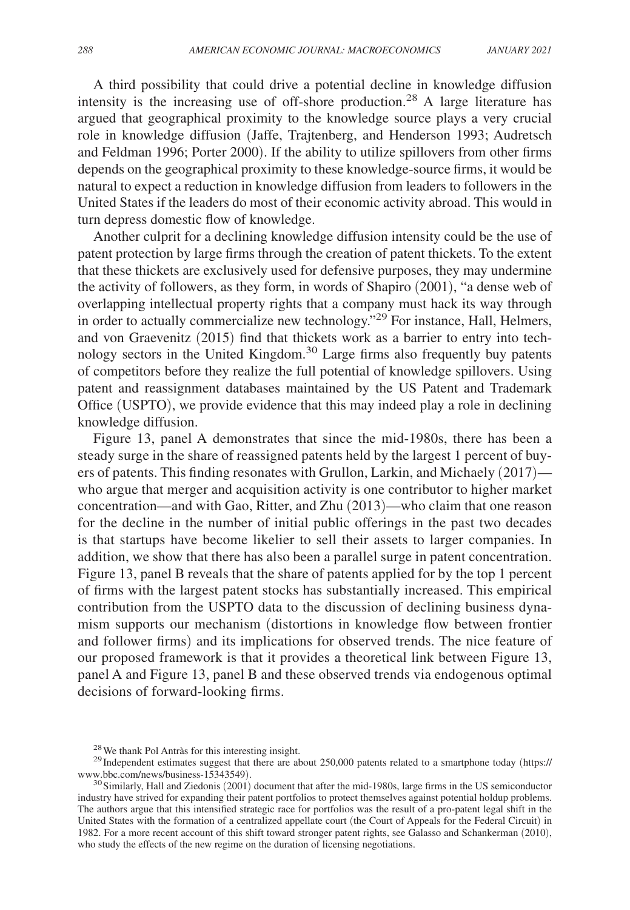A third possibility that could drive a potential decline in knowledge diffusion intensity is the increasing use of off-shore production.<sup>28</sup> A large literature has argued that geographical proximity to the knowledge source plays a very crucial role in knowledge diffusion (Jaffe, Trajtenberg, and Henderson 1993; Audretsch and Feldman 1996; Porter 2000). If the ability to utilize spillovers from other firms depends on the geographical proximity to these knowledge-source firms, it would be natural to expect a reduction in knowledge diffusion from leaders to followers in the United States if the leaders do most of their economic activity abroad. This would in turn depress domestic flow of knowledge.

Another culprit for a declining knowledge diffusion intensity could be the use of patent protection by large firms through the creation of patent thickets. To the extent that these thickets are exclusively used for defensive purposes, they may undermine the activity of followers, as they form, in words of Shapiro (2001), "a dense web of overlapping intellectual property rights that a company must hack its way through in order to actually commercialize new technology."29 For instance, Hall, Helmers, and von Graevenitz (2015) find that thickets work as a barrier to entry into technology sectors in the United Kingdom.30 Large firms also frequently buy patents of competitors before they realize the full potential of knowledge spillovers. Using patent and reassignment databases maintained by the US Patent and Trademark Office (USPTO), we provide evidence that this may indeed play a role in declining knowledge diffusion.

Figure 13, panel A demonstrates that since the mid-1980s, there has been a steady surge in the share of reassigned patents held by the largest 1 percent of buyers of patents. This finding resonates with Grullon, Larkin, and Michaely (2017) who argue that merger and acquisition activity is one contributor to higher market concentration—and with Gao, Ritter, and Zhu (2013)—who claim that one reason for the decline in the number of initial public offerings in the past two decades is that startups have become likelier to sell their assets to larger companies. In addition, we show that there has also been a parallel surge in patent concentration. Figure 13, panel B reveals that the share of patents applied for by the top 1 percent of firms with the largest patent stocks has substantially increased. This empirical contribution from the USPTO data to the discussion of declining business dynamism supports our mechanism (distortions in knowledge flow between frontier and follower firms) and its implications for observed trends. The nice feature of our proposed framework is that it provides a theoretical link between Figure 13, panel A and Figure 13, panel B and these observed trends via endogenous optimal decisions of forward-looking firms.

<sup>28</sup>We thank Pol Antràs for this interesting insight.

 $29$ Independent estimates suggest that there are about 250,000 patents related to a smartphone today (https:// www.bbc.com/news/business-15343549).

 $30$ Similarly, Hall and Ziedonis (2001) document that after the mid-1980s, large firms in the US semiconductor industry have strived for expanding their patent portfolios to protect themselves against potential holdup problems. The authors argue that this intensified strategic race for portfolios was the result of a pro-patent legal shift in the United States with the formation of a centralized appellate court (the Court of Appeals for the Federal Circuit) in 1982. For a more recent account of this shift toward stronger patent rights, see Galasso and Schankerman (2010), who study the effects of the new regime on the duration of licensing negotiations.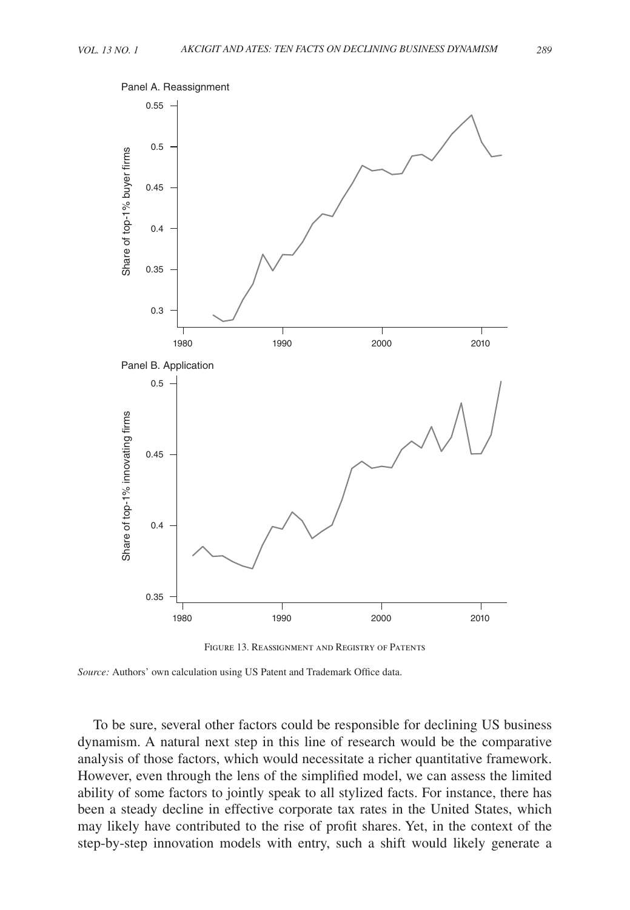



*Source:* Authors' own calculation using US Patent and Trademark Office data.

To be sure, several other factors could be responsible for declining US business dynamism. A natural next step in this line of research would be the comparative analysis of those factors, which would necessitate a richer quantitative framework. However, even through the lens of the simplified model, we can assess the limited ability of some factors to jointly speak to all stylized facts. For instance, there has been a steady decline in effective corporate tax rates in the United States, which may likely have contributed to the rise of profit shares. Yet, in the context of the step-by-step innovation models with entry, such a shift would likely generate a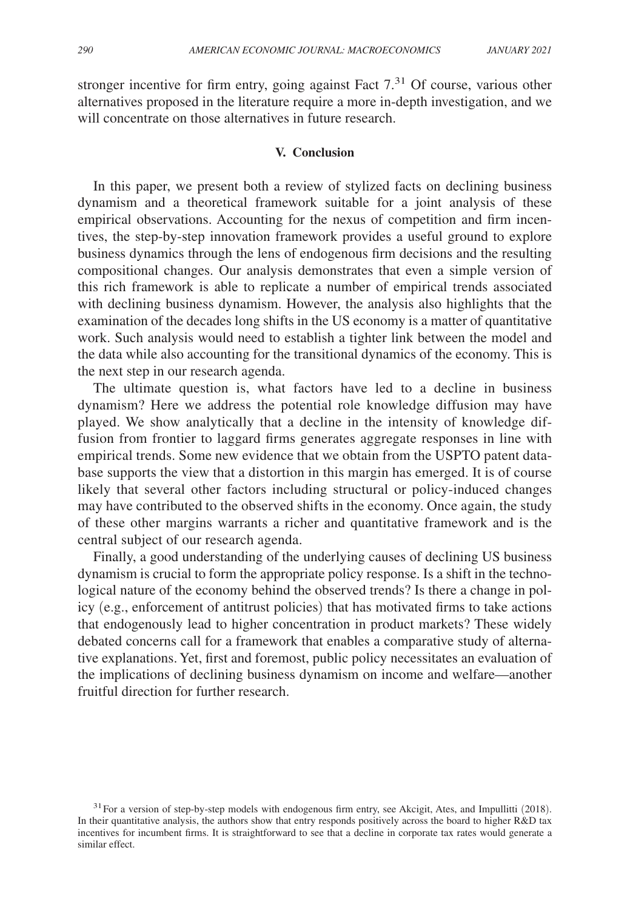stronger incentive for firm entry, going against Fact  $7<sup>31</sup>$  Of course, various other alternatives proposed in the literature require a more in-depth investigation, and we will concentrate on those alternatives in future research.

## **V. Conclusion**

In this paper, we present both a review of stylized facts on declining business dynamism and a theoretical framework suitable for a joint analysis of these empirical observations. Accounting for the nexus of competition and firm incentives, the step-by-step innovation framework provides a useful ground to explore business dynamics through the lens of endogenous firm decisions and the resulting compositional changes. Our analysis demonstrates that even a simple version of this rich framework is able to replicate a number of empirical trends associated with declining business dynamism. However, the analysis also highlights that the examination of the decades long shifts in the US economy is a matter of quantitative work. Such analysis would need to establish a tighter link between the model and the data while also accounting for the transitional dynamics of the economy. This is the next step in our research agenda.

The ultimate question is, what factors have led to a decline in business dynamism? Here we address the potential role knowledge diffusion may have played. We show analytically that a decline in the intensity of knowledge diffusion from frontier to laggard firms generates aggregate responses in line with empirical trends. Some new evidence that we obtain from the USPTO patent database supports the view that a distortion in this margin has emerged. It is of course likely that several other factors including structural or policy-induced changes may have contributed to the observed shifts in the economy. Once again, the study of these other margins warrants a richer and quantitative framework and is the central subject of our research agenda.

Finally, a good understanding of the underlying causes of declining US business dynamism is crucial to form the appropriate policy response. Is a shift in the technological nature of the economy behind the observed trends? Is there a change in policy (e.g., enforcement of antitrust policies) that has motivated firms to take actions that endogenously lead to higher concentration in product markets? These widely debated concerns call for a framework that enables a comparative study of alternative explanations. Yet, first and foremost, public policy necessitates an evaluation of the implications of declining business dynamism on income and welfare—another fruitful direction for further research.

 $31$  For a version of step-by-step models with endogenous firm entry, see Akcigit, Ates, and Impullitti (2018). In their quantitative analysis, the authors show that entry responds positively across the board to higher R&D tax incentives for incumbent firms. It is straightforward to see that a decline in corporate tax rates would generate a similar effect.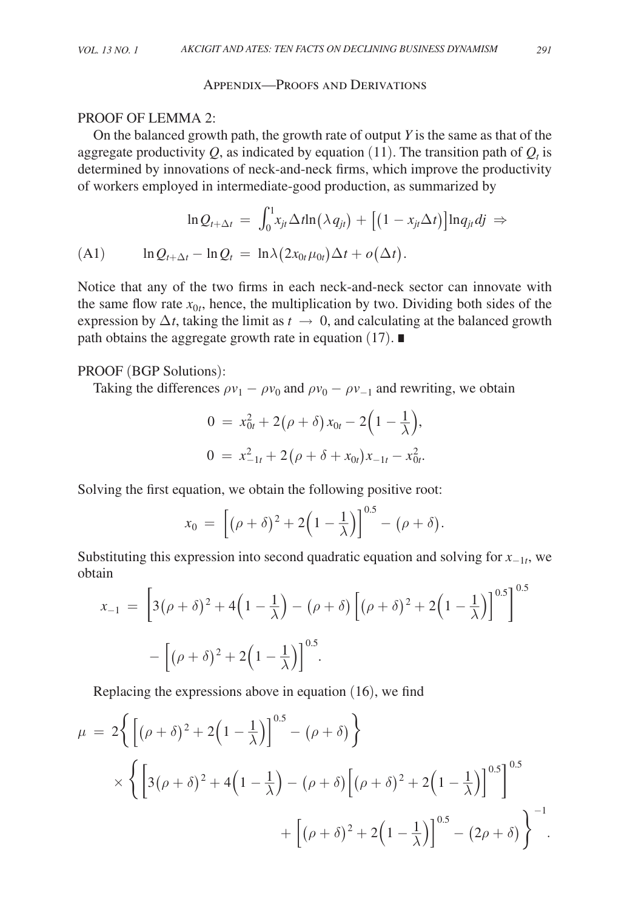## Appendix—Proofs and Derivations

## PROOF OF LEMMA 2:

On the balanced growth path, the growth rate of output *Y* is the same as that of the aggregate productivity  $Q$ , as indicated by equation (11). The transition path of  $Q_t$  is determined by innovations of neck-and-neck firms, which improve the productivity of workers employed in intermediate-good production, as summarized by

$$
\ln Q_{t+\Delta t} = \int_0^1 x_{jt} \Delta t \ln(\lambda q_{jt}) + \left[ (1 - x_{jt} \Delta t) \right] \ln q_{jt} dj \Rightarrow
$$
  
(A1) 
$$
\ln Q_{t+\Delta t} - \ln Q_t = \ln \lambda (2x_{0t} \mu_{0t}) \Delta t + o(\Delta t).
$$

Notice that any of the two firms in each neck-and-neck sector can innovate with the same flow rate  $x_{0t}$ , hence, the multiplication by two. Dividing both sides of the expression by  $\Delta t$ , taking the limit as  $t \to 0$ , and calculating at the balanced growth path obtains the aggregate growth rate in equation (17). ∎

## PROOF (BGP Solutions):

Taking the differences  $\rho v_1 - \rho v_0$  and  $\rho v_0 - \rho v_{-1}$  and rewriting, we obtain

$$
0 = x_{0t}^2 + 2(\rho + \delta)x_{0t} - 2(1 - \frac{1}{\lambda}),
$$
  
\n
$$
0 = x_{-1t}^2 + 2(\rho + \delta + x_{0t})x_{-1t} - x_{0t}^2.
$$

Solving the first equation, we obtain the following positive root:

$$
x_0 = \left[ (\rho + \delta)^2 + 2\left(1 - \frac{1}{\lambda}\right) \right]^{0.5} - (\rho + \delta).
$$

Substituting this expression into second quadratic equation and solving for  $x_{-1t}$ , we obtain  $\sim$ 

$$
x_{-1} = \left[3(\rho + \delta)^2 + 4\left(1 - \frac{1}{\lambda}\right) - (\rho + \delta)\left[(\rho + \delta)^2 + 2\left(1 - \frac{1}{\lambda}\right)\right]^{0.5}\right]^{0.5}
$$

$$
-\left[(\rho + \delta)^2 + 2\left(1 - \frac{1}{\lambda}\right)\right]^{0.5}.
$$

Replacing the expressions above in equation (16), we find

$$
\mu = 2\left\{ \left[ (\rho + \delta)^2 + 2\left(1 - \frac{1}{\lambda}\right) \right]^{0.5} - (\rho + \delta) \right\}
$$
  
\$\times \left\{ \left[ 3(\rho + \delta)^2 + 4\left(1 - \frac{1}{\lambda}\right) - (\rho + \delta) \left[ (\rho + \delta)^2 + 2\left(1 - \frac{1}{\lambda}\right) \right]^{0.5} \right\}^{0.5}\$  
\$+ \left[ (\rho + \delta)^2 + 2\left(1 - \frac{1}{\lambda}\right) \right]^{0.5} - (2\rho + \delta) \right\}^{-1}\$.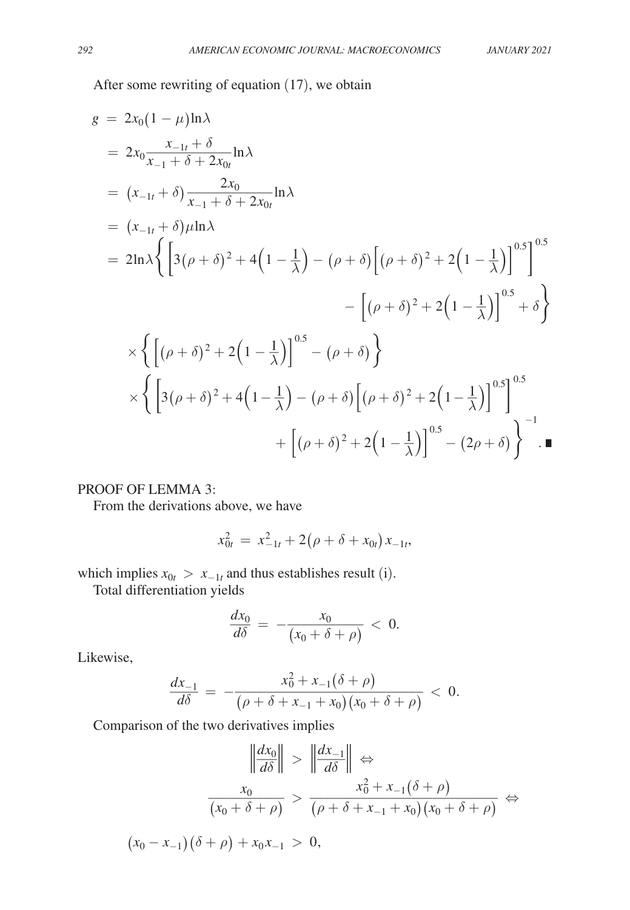After some rewriting of equation (17), we obtain

$$
g = 2x_0(1 - \mu)\ln\lambda
$$
  
\n
$$
= 2x_0 \frac{x_{-1t} + \delta}{x_{-1} + \delta + 2x_0} \ln \lambda
$$
  
\n
$$
= (x_{-1t} + \delta) \frac{2x_0}{x_{-1} + \delta + 2x_0t} \ln \lambda
$$
  
\n
$$
= (x_{-1t} + \delta)\mu \ln \lambda
$$
  
\n
$$
= 2\ln\lambda \left\{ \left[ 3(\rho + \delta)^2 + 4\left( 1 - \frac{1}{\lambda} \right) - (\rho + \delta) \left[ (\rho + \delta)^2 + 2\left( 1 - \frac{1}{\lambda} \right) \right]^{0.5} \right\} - \left[ (\rho + \delta)^2 + 2\left( 1 - \frac{1}{\lambda} \right) \right]^{0.5} + \delta \right\}
$$
  
\n
$$
\times \left\{ \left[ (\rho + \delta)^2 + 2\left( 1 - \frac{1}{\lambda} \right) \right]^{0.5} - (\rho + \delta) \right\}
$$
  
\n
$$
\times \left\{ \left[ 3(\rho + \delta)^2 + 4\left( 1 - \frac{1}{\lambda} \right) - (\rho + \delta) \left[ (\rho + \delta)^2 + 2\left( 1 - \frac{1}{\lambda} \right) \right]^{0.5} \right\}^{0.5} + \left[ (\rho + \delta)^2 + 2\left( 1 - \frac{1}{\lambda} \right) \right]^{0.5} - (2\rho + \delta) \right\}^{-1}.
$$

# PROOF OF LEMMA 3:

From the derivations above, we have

$$
x_{0t}^2 = x_{-1t}^2 + 2(\rho + \delta + x_{0t})x_{-1t},
$$

which implies  $x_{0t} > x_{-1t}$  and thus establishes result (i).

Total differentiation yields

$$
\frac{dx_0}{d\delta} = -\frac{x_0}{(x_0 + \delta + \rho)} < 0.
$$

Likewise,

$$
\frac{d x_{-1}}{d \delta} = -\frac{x_0^2 + x_{-1}(\delta + \rho)}{(x_0 + \delta + x_{-1} + x_0)(x_0 + \delta + \rho)} < 0.
$$

Comparison of the two derivatives implies  
\n
$$
\left\| \frac{dx_0}{d\delta} \right\| > \left\| \frac{dx_{-1}}{d\delta} \right\| \Leftrightarrow
$$
\n
$$
\frac{x_0}{(x_0 + \delta + \rho)} > \frac{x_0^2 + x_{-1}(\delta + \rho)}{(\rho + \delta + x_{-1} + x_0)(x_0 + \delta + \rho)} \Leftrightarrow
$$
\n
$$
(x_0 - x_{-1})(\delta + \rho) + x_0 x_{-1} > 0,
$$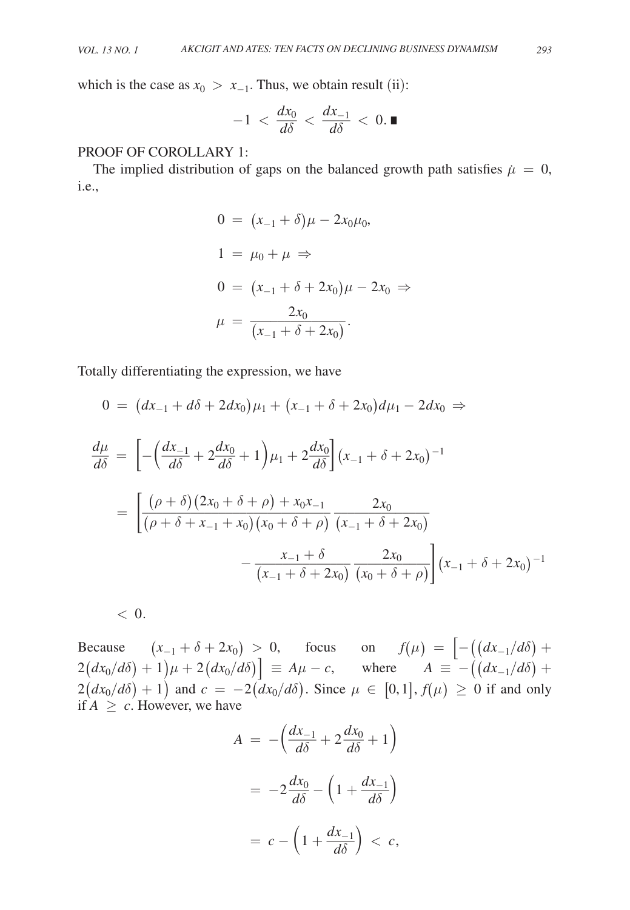which is the case as  $x_0 > x_{-1}$ . Thus, we obtain result (ii):<br> $-1 < \frac{dx_0}{d\delta} < \frac{dx_{-1}}{d\delta} < 0$ .

$$
-1 < \frac{dx_0}{d\delta} < \frac{dx_{-1}}{d\delta} < 0.
$$

# PROOF OF COROLLARY 1:

The implied distribution of gaps on the balanced growth path satisfies  $\mu = 0$ , i.e.,

$$
0 = (x_{-1} + \delta)\mu - 2x_0\mu_0,
$$
  
\n
$$
1 = \mu_0 + \mu \Rightarrow
$$
  
\n
$$
0 = (x_{-1} + \delta + 2x_0)\mu - 2x_0 \Rightarrow
$$
  
\n
$$
\mu = \frac{2x_0}{(x_{-1} + \delta + 2x_0)}.
$$

Totally differentiating the expression, we have

$$
0 = (dx_{-1} + d\delta + 2dx_0)\mu_1 + (x_{-1} + \delta + 2x_0)d\mu_1 - 2dx_0 \Rightarrow
$$
  
\n
$$
\frac{d\mu}{d\delta} = \left[ -\left(\frac{dx_{-1}}{d\delta} + 2\frac{dx_0}{d\delta} + 1\right)\mu_1 + 2\frac{dx_0}{d\delta} \right](x_{-1} + \delta + 2x_0)^{-1}
$$
  
\n
$$
= \left[ \frac{(\rho + \delta)(2x_0 + \delta + \rho) + x_0x_{-1}}{(\rho + \delta + x_{-1} + x_0)(x_0 + \delta + \rho)} \frac{2x_0}{(x_{-1} + \delta + 2x_0)} - \frac{x_{-1} + \delta}{(x_{-1} + \delta + 2x_0)} \frac{2x_0}{(x_0 + \delta + \rho)} \right] (x_{-1} + \delta + 2x_0)^{-1}
$$

 $< 0.$ 

Because  $(x_{-1} + \delta + 2x_0) > 0$ , focus on  $f(\mu) = |-(\frac{dx_{-1}}{d\delta}) +$  $2(dx_0/d\delta) + 1\mu + 2(dx_0/d\delta)$  =  $A\mu - c$ , where  $A \equiv -((dx_{-1}/d\delta) +$  $2(dx_0/d\delta) + 1$  and  $c = -2(dx_0/d\delta)$ . Since  $\mu \in [0,1], f(\mu) \ge 0$  if and only if  $A \geq c$ . However, we have

if 
$$
A \ge c
$$
. However, we have  
\n
$$
A = -\left(\frac{dx_{-1}}{d\delta} + 2\frac{dx_0}{d\delta} + 1\right)
$$
\n
$$
= -2\frac{dx_0}{d\delta} - \left(1 + \frac{dx_{-1}}{d\delta}\right)
$$
\n
$$
= c - \left(1 + \frac{dx_{-1}}{d\delta}\right) < c,
$$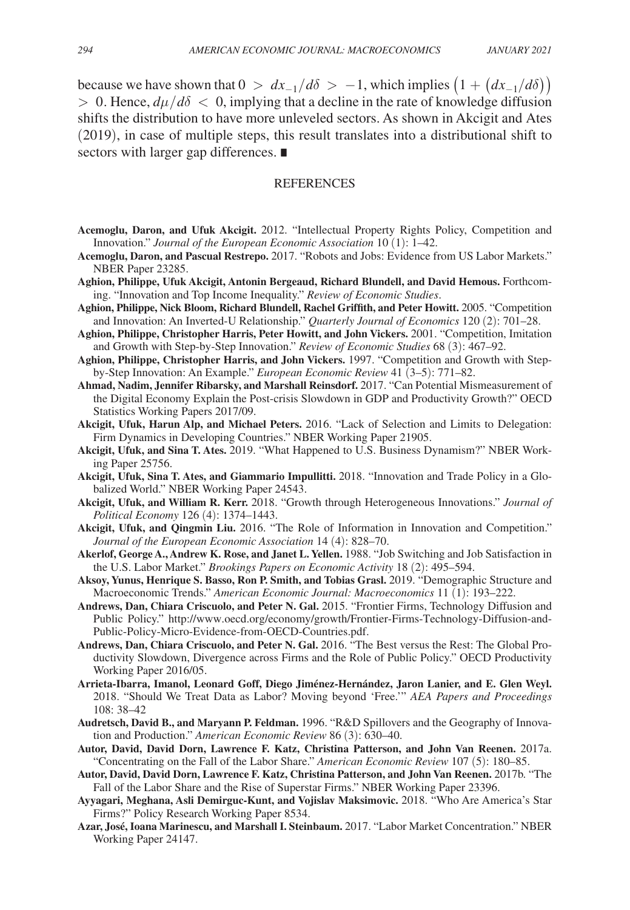because we have shown that  $0 > dx_{-1}/d\delta > -1$ , which implies  $(1 + (dx_{-1}/d\delta))$  $> 0$ . Hence,  $d\mu/d\delta < 0$ , implying that a decline in the rate of knowledge diffusion shifts the distribution to have more unleveled sectors. As shown in Akcigit and Ates (2019), in case of multiple steps, this result translates into a distributional shift to sectors with larger gap differences. ∎

#### **REFERENCES**

- **Acemoglu, Daron, and Ufuk Akcigit.** 2012. "Intellectual Property Rights Policy, Competition and Innovation." *Journal of the European Economic Association* 10 (1): 1–42.
- **Acemoglu, Daron, and Pascual Restrepo.** 2017. "Robots and Jobs: Evidence from US Labor Markets." NBER Paper 23285.
- **Aghion, Philippe, Ufuk Akcigit, Antonin Bergeaud, Richard Blundell, and David Hemous.** Forthcoming. "Innovation and Top Income Inequality." *Review of Economic Studies*.
- **Aghion, Philippe, Nick Bloom, Richard Blundell, Rachel Griffith, and Peter Howitt.** 2005. " Competition and Innovation: An Inverted-U Relationship." *Quarterly Journal of Economics* 120 (2): 701–28.
- **Aghion, Philippe, Christopher Harris, Peter Howitt, and John Vickers.** 2001. "Competition, Imitation and Growth with Step-by-Step Innovation." *Review of Economic Studies* 68 (3): 467–92.
- **Aghion, Philippe, Christopher Harris, and John Vickers.** 1997. "Competition and Growth with Stepby-Step Innovation: An Example." *European Economic Review* 41 (3–5): 771–82.
- **Ahmad, Nadim, Jennifer Ribarsky, and Marshall Reinsdorf.** 2017. "Can Potential Mismeasurement of the Digital Economy Explain the Post-crisis Slowdown in GDP and Productivity Growth?" OECD Statistics Working Papers 2017/09.
- **Akcigit, Ufuk, Harun Alp, and Michael Peters.** 2016. "Lack of Selection and Limits to Delegation: Firm Dynamics in Developing Countries." NBER Working Paper 21905.
- **Akcigit, Ufuk, and Sina T. Ates.** 2019. "What Happened to U.S. Business Dynamism?" NBER Working Paper 25756.
- **Akcigit, Ufuk, Sina T. Ates, and Giammario Impullitti.** 2018. "Innovation and Trade Policy in a Globalized World." NBER Working Paper 24543.
- **Akcigit, Ufuk, and William R. Kerr.** 2018. "Growth through Heterogeneous Innovations." *Journal of Political Economy* 126 (4): 1374–1443.
- **Akcigit, Ufuk, and Qingmin Liu.** 2016. "The Role of Information in Innovation and Competition." *Journal of the European Economic Association* 14 (4): 828–70.
- **Akerlof, George A., Andrew K. Rose, and Janet L. Yellen.** 1988. "Job Switching and Job Satisfaction in the U.S. Labor Market." *Brookings Papers on Economic Activity* 18 (2): 495–594.
- **Aksoy, Yunus, Henrique S. Basso, Ron P. Smith, and Tobias Grasl.** 2019. "Demographic Structure and Macroeconomic Trends." *American Economic Journal: Macroeconomics* 11 (1): 193–222.
- **Andrews, Dan, Chiara Criscuolo, and Peter N. Gal.** 2015. "Frontier Firms, Technology Diffusion and Public Policy." http://www.oecd.org/economy/growth/Frontier-Firms-Technology-Diffusion-and-Public-Policy-Micro-Evidence-from-OECD-Countries.pdf.
- **Andrews, Dan, Chiara Criscuolo, and Peter N. Gal.** 2016. "The Best versus the Rest: The Global Productivity Slowdown, Divergence across Firms and the Role of Public Policy." OECD Productivity Working Paper 2016/05.
- **Arrieta-Ibarra, Imanol, Leonard Goff, Diego Jiménez-Hernández, Jaron Lanier, and E. Glen Weyl.**  2018. "Should We Treat Data as Labor? Moving beyond 'Free.'" *AEA Papers and Proceedings* 108: 38–42
- **Audretsch, David B., and Maryann P. Feldman.** 1996. "R&D Spillovers and the Geography of Innovation and Production." *American Economic Review* 86 (3): 630–40.
- **Autor, David, David Dorn, Lawrence F. Katz, Christina Patterson, and John Van Reenen.** 2017a. "Concentrating on the Fall of the Labor Share." *American Economic Review* 107 (5): 180–85.
- **Autor, David, David Dorn, Lawrence F. Katz, Christina Patterson, and John Van Reenen.** 2017b. "The Fall of the Labor Share and the Rise of Superstar Firms." NBER Working Paper 23396.
- **Ayyagari, Meghana, Asli Demirguc-Kunt, and Vojislav Maksimovic.** 2018. "Who Are America's Star Firms?" Policy Research Working Paper 8534.
- **Azar, José, Ioana Marinescu, and Marshall I. Steinbaum.** 2017. "Labor Market Concentration." NBER Working Paper 24147.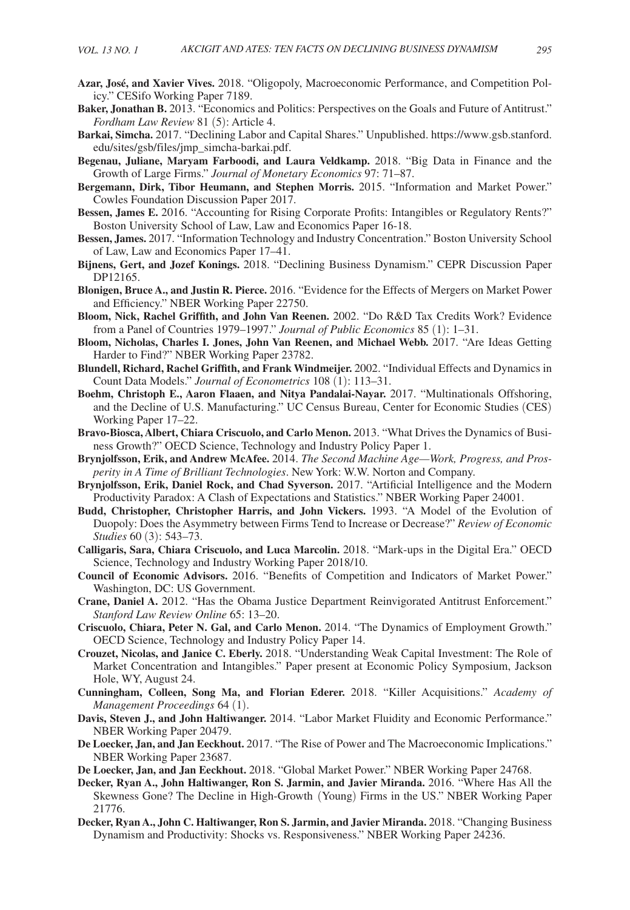- **Azar, José, and Xavier Vives.** 2018. "Oligopoly, Macroeconomic Performance, and Competition Policy." CESifo Working Paper 7189.
- **Baker, Jonathan B.** 2013. "Economics and Politics: Perspectives on the Goals and Future of Antitrust." *Fordham Law Review* 81 (5): Article 4.
- **Barkai, Simcha.** 2017. "Declining Labor and Capital Shares." Unpublished. https://www.gsb.stanford. edu/sites/gsb/files/jmp\_simcha-barkai.pdf.
- **Begenau, Juliane, Maryam Farboodi, and Laura Veldkamp.** 2018. "Big Data in Finance and the Growth of Large Firms." *Journal of Monetary Economics* 97: 71–87.
- **Bergemann, Dirk, Tibor Heumann, and Stephen Morris.** 2015. "Information and Market Power." Cowles Foundation Discussion Paper 2017.
- **Bessen, James E.** 2016. "Accounting for Rising Corporate Profits: Intangibles or Regulatory Rents?" Boston University School of Law, Law and Economics Paper 16-18.
- **Bessen, James.** 2017. "Information Technology and Industry Concentration." Boston University School of Law, Law and Economics Paper 17–41.
- **Bijnens, Gert, and Jozef Konings.** 2018. "Declining Business Dynamism." CEPR Discussion Paper DP12165.
- **Blonigen, Bruce A., and Justin R. Pierce.** 2016. "Evidence for the Effects of Mergers on Market Power and Efficiency." NBER Working Paper 22750.
- **Bloom, Nick, Rachel Griffith, and John Van Reenen.** 2002. "Do R&D Tax Credits Work? Evidence from a Panel of Countries 1979–1997." *Journal of Public Economics* 85 (1): 1–31.
- **Bloom, Nicholas, Charles I. Jones, John Van Reenen, and Michael Webb.** 2017. "Are Ideas Getting Harder to Find?" NBER Working Paper 23782.
- **Blundell, Richard, Rachel Griffith, and Frank Windmeijer.** 2002. "Individual Effects and Dynamics in Count Data Models." *Journal of Econometrics* 108 (1): 113–31.
- **Boehm, Christoph E., Aaron Flaaen, and Nitya Pandalai-Nayar.** 2017. "Multinationals Offshoring, and the Decline of U.S. Manufacturing." UC Census Bureau, Center for Economic Studies (CES) Working Paper 17–22.
- **Bravo-Biosca, Albert, Chiara Criscuolo, and Carlo Menon.** 2013. "What Drives the Dynamics of Business Growth?" OECD Science, Technology and Industry Policy Paper 1.
- **Brynjolfsson, Erik, and Andrew McAfee.** 2014. *The Second Machine Age—Work, Progress, and Prosperity in A Time of Brilliant Technologies*. New York: W.W. Norton and Company.
- **Brynjolfsson, Erik, Daniel Rock, and Chad Syverson.** 2017. "Artificial Intelligence and the Modern Productivity Paradox: A Clash of Expectations and Statistics." NBER Working Paper 24001.
- **Budd, Christopher, Christopher Harris, and John Vickers.** 1993. "A Model of the Evolution of Duopoly: Does the Asymmetry between Firms Tend to Increase or Decrease?" *Review of Economic Studies* 60 (3): 543–73.
- **Calligaris, Sara, Chiara Criscuolo, and Luca Marcolin.** 2018. "Mark-ups in the Digital Era." OECD Science, Technology and Industry Working Paper 2018/10.
- **Council of Economic Advisors.** 2016. "Benefits of Competition and Indicators of Market Power." Washington, DC: US Government.
- **Crane, Daniel A.** 2012. "Has the Obama Justice Department Reinvigorated Antitrust Enforcement." *Stanford Law Review Online* 65: 13–20.
- **Criscuolo, Chiara, Peter N. Gal, and Carlo Menon.** 2014. "The Dynamics of Employment Growth." OECD Science, Technology and Industry Policy Paper 14.
- **Crouzet, Nicolas, and Janice C. Eberly.** 2018. "Understanding Weak Capital Investment: The Role of Market Concentration and Intangibles." Paper present at Economic Policy Symposium, Jackson Hole, WY, August 24.
- **Cunningham, Colleen, Song Ma, and Florian Ederer.** 2018. "Killer Acquisitions." *Academy of Management Proceedings* 64 (1).
- **Davis, Steven J., and John Haltiwanger.** 2014. "Labor Market Fluidity and Economic Performance." NBER Working Paper 20479.
- **De Loecker, Jan, and Jan Eeckhout.** 2017. "The Rise of Power and The Macroeconomic Implications." NBER Working Paper 23687.
- **De Loecker, Jan, and Jan Eeckhout.** 2018. "Global Market Power." NBER Working Paper 24768.
- **Decker, Ryan A., John Haltiwanger, Ron S. Jarmin, and Javier Miranda.** 2016. "Where Has All the Skewness Gone? The Decline in High-Growth (Young) Firms in the US." NBER Working Paper 21776.
- **Decker, Ryan A., John C. Haltiwanger, Ron S. Jarmin, and Javier Miranda.** 2018. "Changing Business Dynamism and Productivity: Shocks vs. Responsiveness." NBER Working Paper 24236.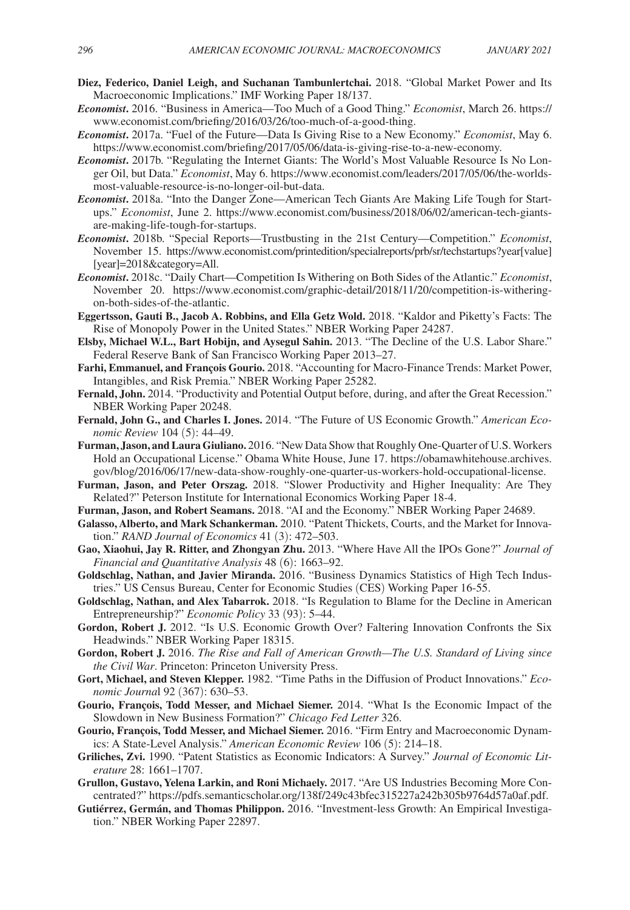- **Diez, Federico, Daniel Leigh, and Suchanan Tambunlertchai.** 2018. "Global Market Power and Its Macroeconomic Implications." IMF Working Paper 18/137.
- *Economist***.** 2016. "Business in America—Too Much of a Good Thing." *Economist*, March 26. https:// www.economist.com/briefing/2016/03/26/too-much-of-a-good-thing.
- *Economist***.** 2017a. "Fuel of the Future—Data Is Giving Rise to a New Economy." *Economist*, May 6. https://www.economist.com/briefing/2017/05/06/data-is-giving-rise-to-a-new-economy.
- *Economist***.** 2017b. "Regulating the Internet Giants: The World's Most Valuable Resource Is No Longer Oil, but Data." *Economist*, May 6. https://www.economist.com/leaders/2017/05/06/the-worldsmost-valuable-resource-is-no-longer-oil-but-data.
- *Economist***.** 2018a. "Into the Danger Zone—American Tech Giants Are Making Life Tough for Startups." *Economist*, June 2. https://www.economist.com/business/2018/06/02/american-tech-giantsare-making-life-tough-for-startups.
- *Economist***.** 2018b. "Special Reports—Trustbusting in the 21st Century—Competition." *Economist*, November 15. https://www.economist.com/printedition/specialreports/prb/sr/techstartups?year[value] [year]=2018&category=All.
- *Economist***.** 2018c. "Daily Chart—Competition Is Withering on Both Sides of the Atlantic." *Economist*, November 20. https://www.economist.com/graphic-detail/2018/11/20/competition-is-witheringon-both-sides-of-the-atlantic.
- **Eggertsson, Gauti B., Jacob A. Robbins, and Ella Getz Wold.** 2018. "Kaldor and Piketty's Facts: The Rise of Monopoly Power in the United States." NBER Working Paper 24287.
- **Elsby, Michael W.L., Bart Hobijn, and Aysegul Sahin.** 2013. "The Decline of the U.S. Labor Share." Federal Reserve Bank of San Francisco Working Paper 2013–27.
- **Farhi, Emmanuel, and François Gourio.** 2018. "Accounting for Macro-Finance Trends: Market Power, Intangibles, and Risk Premia." NBER Working Paper 25282.
- **Fernald, John.** 2014. "Productivity and Potential Output before, during, and after the Great Recession." NBER Working Paper 20248.
- **Fernald, John G., and Charles I. Jones.** 2014. "The Future of US Economic Growth." *American Economic Review* 104 (5): 44–49.
- **Furman, Jason, and Laura Giuliano.** 2016. "New Data Show that Roughly One-Quarter of U.S. Workers Hold an Occupational License." Obama White House, June 17. https://obamawhitehouse.archives. gov/blog/2016/06/17/new-data-show-roughly-one-quarter-us-workers-hold-occupational-license.
- **Furman, Jason, and Peter Orszag.** 2018. "Slower Productivity and Higher Inequality: Are They Related?" Peterson Institute for International Economics Working Paper 18-4.
- **Furman, Jason, and Robert Seamans.** 2018. "AI and the Economy." NBER Working Paper 24689.
- **Galasso, Alberto, and Mark Schankerman.** 2010. "Patent Thickets, Courts, and the Market for Innovation." *RAND Journal of Economics* 41 (3): 472–503.
- **Gao, Xiaohui, Jay R. Ritter, and Zhongyan Zhu.** 2013. "Where Have All the IPOs Gone?" *Journal of Financial and Quantitative Analysis* 48 (6): 1663–92.
- **Goldschlag, Nathan, and Javier Miranda.** 2016. "Business Dynamics Statistics of High Tech Industries." US Census Bureau, Center for Economic Studies (CES) Working Paper 16-55.
- **Goldschlag, Nathan, and Alex Tabarrok.** 2018. "Is Regulation to Blame for the Decline in American Entrepreneurship?" *Economic Policy* 33 (93): 5–44.
- **Gordon, Robert J.** 2012. "Is U.S. Economic Growth Over? Faltering Innovation Confronts the Six Headwinds." NBER Working Paper 18315.
- **Gordon, Robert J.** 2016. *The Rise and Fall of American Growth—The U.S. Standard of Living since the Civil War*. Princeton: Princeton University Press.
- **Gort, Michael, and Steven Klepper.** 1982. "Time Paths in the Diffusion of Product Innovations." *Economic Journa*l 92 (367): 630–53.
- **Gourio, François, Todd Messer, and Michael Siemer.** 2014. "What Is the Economic Impact of the Slowdown in New Business Formation?" *Chicago Fed Letter* 326.
- **Gourio, François, Todd Messer, and Michael Siemer.** 2016. "Firm Entry and Macroeconomic Dynamics: A State-Level Analysis." *American Economic Review* 106 (5): 214–18.
- **Griliches, Zvi.** 1990. "Patent Statistics as Economic Indicators: A Survey." *Journal of Economic Literature* 28: 1661–1707.
- **Grullon, Gustavo, Yelena Larkin, and Roni Michaely.** 2017. "Are US Industries Becoming More Concentrated?" https://pdfs.semanticscholar.org/138f/249c43bfec315227a242b305b9764d57a0af.pdf.
- **Gutiérrez, Germán, and Thomas Philippon.** 2016. "Investment-less Growth: An Empirical Investigation." NBER Working Paper 22897.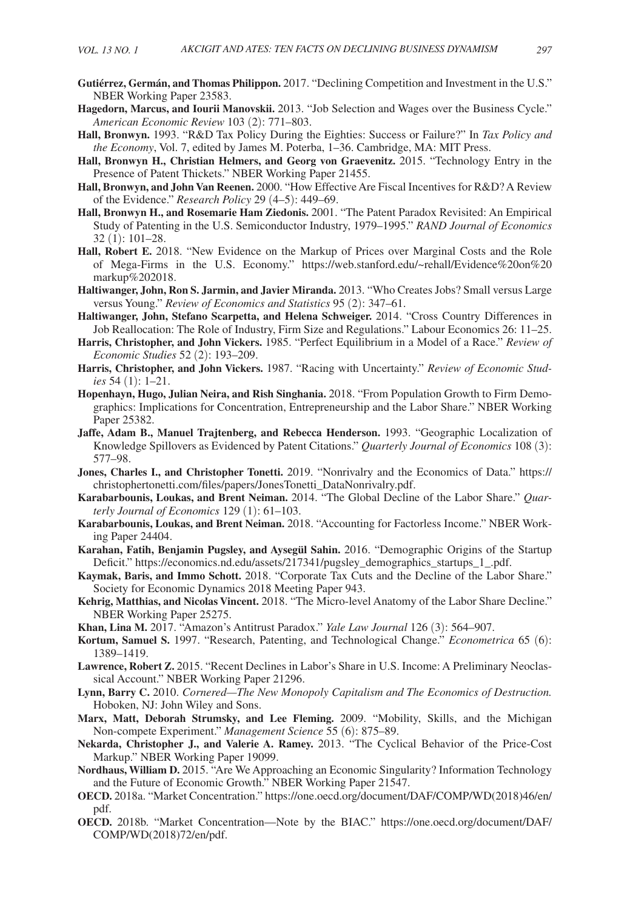- **Gutiérrez, Germán, and Thomas Philippon.** 2017. "Declining Competition and Investment in the U.S." NBER Working Paper 23583.
- **Hagedorn, Marcus, and Iourii Manovskii.** 2013. "Job Selection and Wages over the Business Cycle." *American Economic Review* 103 (2): 771–803.
- **Hall, Bronwyn.** 1993. "R&D Tax Policy During the Eighties: Success or Failure?" In *Tax Policy and the Economy*, Vol. 7, edited by James M. Poterba, 1–36. Cambridge, MA: MIT Press.
- **Hall, Bronwyn H., Christian Helmers, and Georg von Graevenitz.** 2015. "Technology Entry in the Presence of Patent Thickets." NBER Working Paper 21455.
- **Hall, Bronwyn, and John Van Reenen.** 2000. "How Effective Are Fiscal Incentives for R&D? A Review of the Evidence." *Research Policy* 29 (4–5): 449–69.
- **Hall, Bronwyn H., and Rosemarie Ham Ziedonis.** 2001. "The Patent Paradox Revisited: An Empirical Study of Patenting in the U.S. Semiconductor Industry, 1979–1995." *RAND Journal of Economics*  32 (1): 101–28.
- **Hall, Robert E.** 2018. "New Evidence on the Markup of Prices over Marginal Costs and the Role of Mega-Firms in the U.S. Economy." https://web.stanford.edu/~rehall/Evidence%20on%20 markup%202018.
- **Haltiwanger, John, Ron S. Jarmin, and Javier Miranda.** 2013. "Who Creates Jobs? Small versus Large versus Young." *Review of Economics and Statistics* 95 (2): 347–61.
- **Haltiwanger, John, Stefano Scarpetta, and Helena Schweiger.** 2014. "Cross Country Differences in Job Reallocation: The Role of Industry, Firm Size and Regulations." Labour Economics 26: 11–25.
- **Harris, Christopher, and John Vickers.** 1985. "Perfect Equilibrium in a Model of a Race." *Review of Economic Studies* 52 (2): 193–209.
- **Harris, Christopher, and John Vickers.** 1987. "Racing with Uncertainty." *Review of Economic Studies* 54 (1): 1–21.
- **Hopenhayn, Hugo, Julian Neira, and Rish Singhania.** 2018. "From Population Growth to Firm Demographics: Implications for Concentration, Entrepreneurship and the Labor Share." NBER Working Paper 25382.
- **Jaffe, Adam B., Manuel Trajtenberg, and Rebecca Henderson.** 1993. "Geographic Localization of Knowledge Spillovers as Evidenced by Patent Citations." *Quarterly Journal of Economics* 108 (3): 577–98.
- **Jones, Charles I., and Christopher Tonetti.** 2019. "Nonrivalry and the Economics of Data." https:// christophertonetti.com/files/papers/JonesTonetti\_DataNonrivalry.pdf.
- **Karabarbounis, Loukas, and Brent Neiman.** 2014. "The Global Decline of the Labor Share." *Quarterly Journal of Economics* 129 (1): 61–103.
- **Karabarbounis, Loukas, and Brent Neiman.** 2018. "Accounting for Factorless Income." NBER Working Paper 24404.
- **Karahan, Fatih, Benjamin Pugsley, and Aysegül Sahin.** 2016. "Demographic Origins of the Startup Deficit." https://economics.nd.edu/assets/217341/pugsley\_demographics\_startups\_1\_.pdf.
- **Kaymak, Baris, and Immo Schott.** 2018. "Corporate Tax Cuts and the Decline of the Labor Share." Society for Economic Dynamics 2018 Meeting Paper 943.
- **Kehrig, Matthias, and Nicolas Vincent.** 2018. "The Micro-level Anatomy of the Labor Share Decline." NBER Working Paper 25275.
- **Khan, Lina M.** 2017. "Amazon's Antitrust Paradox." *Yale Law Journal* 126 (3): 564–907.
- **Kortum, Samuel S.** 1997. "Research, Patenting, and Technological Change." *Econometrica* 65 (6): 1389–1419.
- **Lawrence, Robert Z.** 2015. "Recent Declines in Labor's Share in U.S. Income: A Preliminary Neoclassical Account." NBER Working Paper 21296.
- **Lynn, Barry C.** 2010. *Cornered—The New Monopoly Capitalism and The Economics of Destruction.*  Hoboken, NJ: John Wiley and Sons.
- **Marx, Matt, Deborah Strumsky, and Lee Fleming.** 2009. "Mobility, Skills, and the Michigan Non-compete Experiment." *Management Science* 55 (6): 875–89.
- **Nekarda, Christopher J., and Valerie A. Ramey.** 2013. "The Cyclical Behavior of the Price-Cost Markup." NBER Working Paper 19099.
- **Nordhaus, William D.** 2015. "Are We Approaching an Economic Singularity? Information Technology and the Future of Economic Growth." NBER Working Paper 21547.
- **OECD.** 2018a. "Market Concentration." https://one.oecd.org/document/DAF/COMP/WD(2018)46/en/ pdf.
- **OECD.** 2018b. "Market Concentration—Note by the BIAC." https://one.oecd.org/document/DAF/ COMP/WD(2018)72/en/pdf.